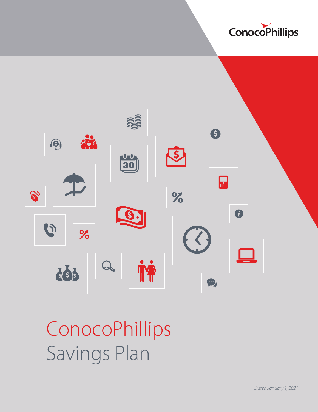



ConocoPhillips Savings Plan

*Dated January 1, 2021*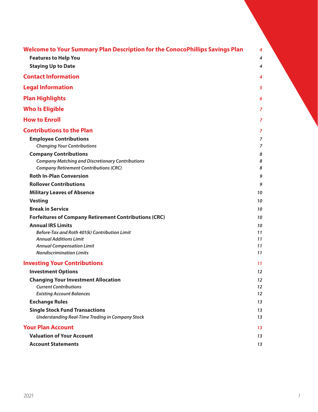| Welcome to Your Summary Plan Description for the ConocoPhillips Savings Plan | 4  |
|------------------------------------------------------------------------------|----|
| <b>Features to Help You</b>                                                  | 4  |
| <b>Staying Up to Date</b>                                                    | 4  |
| <b>Contact Information</b>                                                   | 4  |
| <b>Legal Information</b>                                                     | 5  |
| <b>Plan Highlights</b>                                                       | 6  |
| <b>Who Is Eligible</b>                                                       | 7  |
| <b>How to Enroll</b>                                                         | 7  |
| <b>Contributions to the Plan</b>                                             | 7  |
| <b>Employee Contributions</b>                                                | 7  |
| <b>Changing Your Contributions</b>                                           | 7  |
| <b>Company Contributions</b>                                                 | 8  |
| <b>Company Matching and Discretionary Contributions</b>                      | 8  |
| <b>Company Retirement Contributions (CRC)</b>                                | 8  |
| <b>Roth In-Plan Conversion</b>                                               | 9  |
| <b>Rollover Contributions</b>                                                | 9  |
| <b>Military Leaves of Absence</b>                                            | 10 |
| <b>Vesting</b>                                                               | 10 |
| <b>Break in Service</b>                                                      | 10 |
| <b>Forfeitures of Company Retirement Contributions (CRC)</b>                 | 10 |
| <b>Annual IRS Limits</b>                                                     | 10 |
| Before-Tax and Roth 401(k) Contribution Limit                                | 11 |
| <b>Annual Additions Limit</b>                                                | 11 |
| <b>Annual Compensation Limit</b>                                             | 11 |
| <b>Nondiscrimination Limits</b>                                              | 11 |
| <b>Investing Your Contributions</b>                                          | 11 |
| <b>Investment Options</b>                                                    | 12 |
| <b>Changing Your Investment Allocation</b>                                   | 12 |
| <b>Current Contributions</b>                                                 | 12 |
| <b>Existing Account Balances</b>                                             | 12 |
| <b>Exchange Rules</b>                                                        | 13 |
| <b>Single Stock Fund Transactions</b>                                        | 13 |
| <b>Understanding Real-Time Trading in Company Stock</b>                      | 13 |
| <b>Your Plan Account</b>                                                     | 13 |
| <b>Valuation of Your Account</b>                                             | 13 |
| <b>Account Statements</b>                                                    | 13 |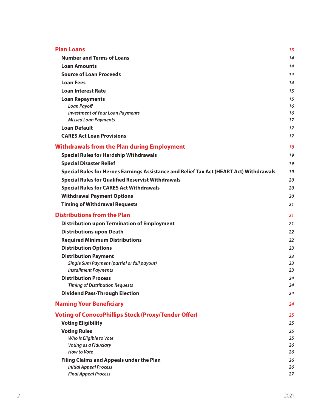| <b>Plan Loans</b>                                                                       | 13       |
|-----------------------------------------------------------------------------------------|----------|
| <b>Number and Terms of Loans</b>                                                        | 14       |
| <b>Loan Amounts</b>                                                                     | 14       |
| <b>Source of Loan Proceeds</b>                                                          | 14       |
| <b>Loan Fees</b>                                                                        | 14       |
| <b>Loan Interest Rate</b>                                                               | 15       |
| <b>Loan Repayments</b>                                                                  | 15       |
| <b>Loan Payoff</b>                                                                      | 16       |
| <b>Investment of Your Loan Payments</b>                                                 | 16       |
| <b>Missed Loan Payments</b><br><b>Loan Default</b>                                      | 17       |
| <b>CARES Act Loan Provisions</b>                                                        | 17       |
|                                                                                         | 17       |
| <b>Withdrawals from the Plan during Employment</b>                                      | 18       |
| <b>Special Rules for Hardship Withdrawals</b>                                           | 19       |
| <b>Special Disaster Relief</b>                                                          | 19       |
| Special Rules for Heroes Earnings Assistance and Relief Tax Act (HEART Act) Withdrawals | 19       |
| <b>Special Rules for Qualified Reservist Withdrawals</b>                                | 20       |
| <b>Special Rules for CARES Act Withdrawals</b>                                          | 20       |
| <b>Withdrawal Payment Options</b>                                                       | 20       |
| <b>Timing of Withdrawal Requests</b>                                                    | 21       |
| <b>Distributions from the Plan</b>                                                      | 21       |
| <b>Distribution upon Termination of Employment</b>                                      | 21       |
| <b>Distributions upon Death</b>                                                         | 22       |
| <b>Required Minimum Distributions</b>                                                   | 22       |
| <b>Distribution Options</b>                                                             | 23       |
| <b>Distribution Payment</b>                                                             | 23       |
| <b>Single Sum Payment (partial or full payout)</b><br><b>Installment Payments</b>       | 23       |
| <b>Distribution Process</b>                                                             | 23<br>24 |
| <b>Timing of Distribution Requests</b>                                                  | 24       |
| <b>Dividend Pass-Through Election</b>                                                   | 24       |
| <b>Naming Your Beneficiary</b>                                                          | 24       |
| <b>Voting of ConocoPhillips Stock (Proxy/Tender Offer)</b>                              | 25       |
| <b>Voting Eligibility</b>                                                               | 25       |
| <b>Voting Rules</b>                                                                     | 25       |
| Who Is Eligible to Vote                                                                 | 25       |
| Voting as a Fiduciary                                                                   | 26       |
| <b>How to Vote</b>                                                                      | 26       |
| <b>Filing Claims and Appeals under the Plan</b>                                         | 26       |
| <b>Initial Appeal Process</b><br><b>Final Appeal Process</b>                            | 26<br>27 |
|                                                                                         |          |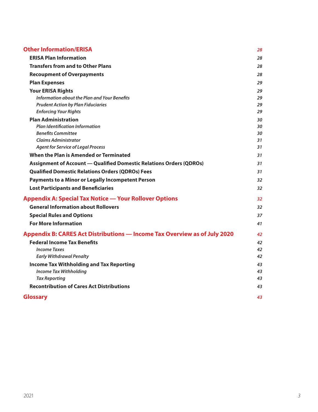| <b>Other Information/ERISA</b>                                                   | 28 |
|----------------------------------------------------------------------------------|----|
| <b>ERISA Plan Information</b>                                                    | 28 |
| <b>Transfers from and to Other Plans</b>                                         | 28 |
| <b>Recoupment of Overpayments</b>                                                | 28 |
| <b>Plan Expenses</b>                                                             | 29 |
| <b>Your ERISA Rights</b>                                                         | 29 |
| Information about the Plan and Your Benefits                                     | 29 |
| <b>Prudent Action by Plan Fiduciaries</b>                                        | 29 |
| <b>Enforcing Your Rights</b>                                                     | 29 |
| <b>Plan Administration</b>                                                       | 30 |
| <b>Plan Identification Information</b>                                           | 30 |
| <b>Benefits Committee</b>                                                        | 30 |
| <b>Claims Administrator</b>                                                      | 31 |
| <b>Agent for Service of Legal Process</b>                                        | 31 |
| When the Plan is Amended or Terminated                                           | 31 |
| <b>Assignment of Account - Qualified Domestic Relations Orders (QDROs)</b>       | 31 |
| <b>Qualified Domestic Relations Orders (QDROs) Fees</b>                          | 31 |
| <b>Payments to a Minor or Legally Incompetent Person</b>                         | 32 |
| <b>Lost Participants and Beneficiaries</b>                                       | 32 |
| <b>Appendix A: Special Tax Notice - Your Rollover Options</b>                    | 32 |
| <b>General Information about Rollovers</b>                                       | 32 |
| <b>Special Rules and Options</b>                                                 | 37 |
| <b>For More Information</b>                                                      | 41 |
| <b>Appendix B: CARES Act Distributions - Income Tax Overview as of July 2020</b> | 42 |
| <b>Federal Income Tax Benefits</b>                                               | 42 |
| <b>Income Taxes</b>                                                              | 42 |
| <b>Early Withdrawal Penalty</b>                                                  | 42 |
| <b>Income Tax Withholding and Tax Reporting</b>                                  | 43 |
| <b>Income Tax Withholding</b>                                                    | 43 |
| <b>Tax Reporting</b>                                                             | 43 |
| <b>Recontribution of Cares Act Distributions</b>                                 | 43 |
| <b>Glossary</b>                                                                  | 43 |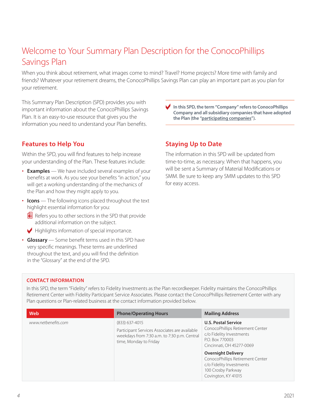# <span id="page-5-0"></span>Welcome to Your Summary Plan Description for the ConocoPhillips Savings Plan

When you think about retirement, what images come to mind? Travel? Home projects? More time with family and friends? Whatever your retirement dreams, the ConocoPhillips Savings Plan can play an important part as you plan for your retirement.

This Summary Plan Description (SPD) provides you with important information about the ConocoPhillips Savings Plan. It is an easy-to-use resource that gives you the information you need to understand your Plan benefits.

## **Features to Help You**

Within the SPD, you will find features to help increase your understanding of the Plan. These features include:

- **Examples** We have included several examples of your benefits at work. As you see your benefits "in action," you will get a working understanding of the mechanics of the Plan and how they might apply to you.
- **Icons** The following icons placed throughout the text highlight essential information for you:
	- $E$  Refers you to other sections in the SPD that provide additional information on the subject.
	- $\blacktriangleright$  Highlights information of special importance.
- **Glossary** Some benefit terms used in this SPD have very specific meanings. These terms are underlined throughout the text, and you will find the definition in the "Glossary" at the end of the SPD.

c **In this SPD, the term "Company" refers to ConocoPhillips Company and all subsidiary companies that have adopted the Plan (the "participating companies").**

## **Staying Up to Date**

The information in this SPD will be updated from time-to-time, as necessary. When that happens, you will be sent a Summary of Material Modifications or SMM. Be sure to keep any SMM updates to this SPD for easy access.

### **CONTACT INFORMATION**

In this SPD, the term "Fidelity" refers to Fidelity Investments as the Plan recordkeeper. Fidelity maintains the ConocoPhillips Retirement Center with Fidelity Participant Service Associates. Please contact the ConocoPhillips Retirement Center with any Plan questions or Plan-related business at the contact information provided below.

| Web                 | <b>Phone/Operating Hours</b>                                                                                                                | <b>Mailing Address</b>                                                                                                                     |
|---------------------|---------------------------------------------------------------------------------------------------------------------------------------------|--------------------------------------------------------------------------------------------------------------------------------------------|
| www.netbenefits.com | $(833)$ 637-4015<br>Participant Services Associates are available<br>weekdays from 7:30 a.m. to 7:30 p.m. Central<br>time, Monday to Friday | <b>U.S. Postal Service</b><br>ConocoPhillips Retirement Center<br>c/o Fidelity Investments<br>P.O. Box 770003<br>Cincinnati, OH 45277-0069 |
|                     |                                                                                                                                             | <b>Overnight Delivery</b><br>ConocoPhillips Retirement Center<br>c/o Fidelity Investments<br>100 Crosby Parkway<br>Covington, KY 41015     |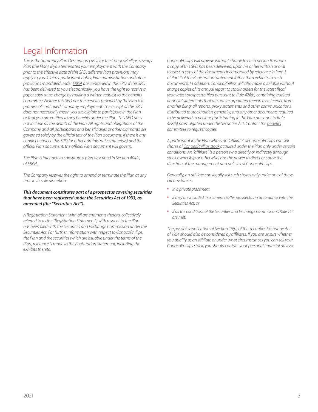# <span id="page-6-0"></span>Legal Information

*This is the Summary Plan Description (SPD) for the ConocoPhillips Savings Plan (the Plan). If you terminated your employment with the Company prior to the effective date of this SPD, different Plan provisions may apply to you. Claims, participant rights, Plan administration and other provisions mandated under ERISA are contained in this SPD. If this SPD has been delivered to you electronically, you have the right to receive a paper copy at no charge by making a written request to the benefits committee. Neither this SPD nor the benefits provided by the Plan is a promise of continued Company employment. The receipt of this SPD does not necessarily mean you are eligible to participate in the Plan or that you are entitled to any benefits under the Plan. This SPD does not include all the details of the Plan. All rights and obligations of the Company and all participants and beneficiaries or other claimants are governed solely by the official text of the Plan document. If there is any conflict between this SPD (or other administrative materials) and the official Plan document, the official Plan document will govern.*

*The Plan is intended to constitute a plan described in Section 404(c) of ERISA.*

*The Company reserves the right to amend or terminate the Plan at any time in its sole discretion.*

#### *This document constitutes part of a prospectus covering securities that have been registered under the Securities Act of 1933, as amended (the "Securities Act").*

*A Registration Statement (with all amendments thereto, collectively referred to as the "Registration Statement") with respect to the Plan has been filed with the Securities and Exchange Commission under the Securities Act. For further information with respect to ConocoPhillips, the Plan and the securities which are issuable under the terms of the Plan, reference is made to the Registration Statement, including the exhibits thereto.*

*ConocoPhillips will provide without charge to each person to whom a copy of this SPD has been delivered, upon his or her written or oral request, a copy of the documents incorporated by reference in Item 3 of Part II of the Registration Statement (other than exhibits to such documents). In addition, ConocoPhillips will also make available without charge copies of its annual report to stockholders for the latest fiscal year; latest prospectus filed pursuant to Rule 424(b) containing audited financial statements that are not incorporated therein by reference from another filing; all reports, proxy statements and other communications distributed to stockholders generally; and any other documents required to be delivered to persons participating in the Plan pursuant to Rule 428(b) promulgated under the Securities Act. Contact the benefits committee to request copies.*

*A participant in the Plan who is an "affiliate" of ConocoPhillips can sell shares of ConocoPhillips stock acquired under the Plan only under certain conditions. An "affiliate" is a person who directly or indirectly (through stock ownership or otherwise) has the power to direct or cause the direction of the management and policies of ConocoPhillips.* 

*Generally, an affiliate can legally sell such shares only under one of these circumstances:*

- *In a private placement;*
- *If they are included in a current reoffer prospectus in accordance with the Securities Act; or*
- *If all the conditions of the Securities and Exchange Commission's Rule 144 are met.*

*The possible application of Section 16(b) of the Securities Exchange Act of 1934 should also be considered by affiliates. If you are unsure whether you qualify as an affiliate or under what circumstances you can sell your ConocoPhillips stock, you should contact your personal financial advisor.*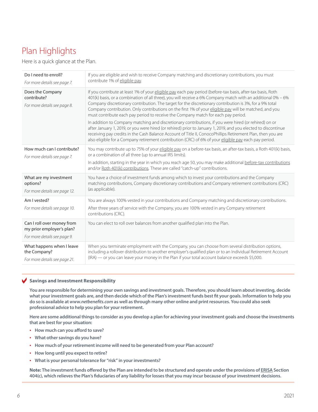# <span id="page-7-0"></span>Plan Highlights

Here is a quick glance at the Plan.

| Do I need to enroll?<br>For more details see page 7.                                    | If you are eligible and wish to receive Company matching and discretionary contributions, you must<br>contribute 1% of eligible pay.                                                                                                                                                                                                                                                                                                                                                                                                                                                                                                                                                                                                                                                                                                                                                                                                                                                     |
|-----------------------------------------------------------------------------------------|------------------------------------------------------------------------------------------------------------------------------------------------------------------------------------------------------------------------------------------------------------------------------------------------------------------------------------------------------------------------------------------------------------------------------------------------------------------------------------------------------------------------------------------------------------------------------------------------------------------------------------------------------------------------------------------------------------------------------------------------------------------------------------------------------------------------------------------------------------------------------------------------------------------------------------------------------------------------------------------|
| Does the Company<br>contribute?<br>For more details see page 8.                         | If you contribute at least 1% of your eligible pay each pay period (before-tax basis, after-tax basis, Roth<br>401(k) basis, or a combination of all three), you will receive a 6% Company match with an additional 0% - 6%<br>Company discretionary contribution. The target for the discretionary contribution is 3%, for a 9% total<br>Company contribution. Only contributions on the first 1% of your eligible pay will be matched, and you<br>must contribute each pay period to receive the Company match for each pay period.<br>In addition to Company matching and discretionary contributions, if you were hired (or rehired) on or<br>after January 1, 2019, or you were hired (or rehired) prior to January 1, 2019, and you elected to discontinue<br>receiving pay credits in the Cash Balance Account of Title II, ConocoPhillips Retirement Plan, then you are<br>also eligible for a Company retirement contribution (CRC) of 6% of your eligible pay each pay period. |
| How much can I contribute?<br>For more details see page 7.                              | You may contribute up to 75% of your eligible pay on a before-tax basis, an after-tax basis, a Roth 401(k) basis,<br>or a combination of all three (up to annual IRS limits).<br>In addition, starting in the year in which you reach age 50, you may make additional before-tax contributions<br>and/or Roth 401(k) contributions. These are called "catch-up" contributions.                                                                                                                                                                                                                                                                                                                                                                                                                                                                                                                                                                                                           |
| What are my investment<br>options?<br>For more details see page 12.                     | You have a choice of investment funds among which to invest your contributions and the Company<br>matching contributions, Company discretionary contributions and Company retirement contributions (CRC)<br>(as applicable).                                                                                                                                                                                                                                                                                                                                                                                                                                                                                                                                                                                                                                                                                                                                                             |
| Am I vested?<br>For more details see page 10.                                           | You are always 100% vested in your contributions and Company matching and discretionary contributions.<br>After three years of service with the Company, you are 100% vested in any Company retirement<br>contributions (CRC).                                                                                                                                                                                                                                                                                                                                                                                                                                                                                                                                                                                                                                                                                                                                                           |
| Can I roll over money from<br>my prior employer's plan?<br>For more details see page 9. | You can elect to roll over balances from another qualified plan into the Plan.                                                                                                                                                                                                                                                                                                                                                                                                                                                                                                                                                                                                                                                                                                                                                                                                                                                                                                           |
| What happens when I leave<br>the Company?<br>For more details see page 21.              | When you terminate employment with the Company, you can choose from several distribution options,<br>including a rollover distribution to another employer's qualified plan or to an Individual Retirement Account<br>(IRA) — or you can leave your money in the Plan if your total account balance exceeds \$5,000.                                                                                                                                                                                                                                                                                                                                                                                                                                                                                                                                                                                                                                                                     |

#### c **Savings and Investment Responsibility**

**You are responsible for determining your own savings and investment goals. Therefore, you should learn about investing, decide what your investment goals are, and then decide which of the Plan's investment funds best fit your goals. Information to help you do so is available at** *[www.netbenefits.com](http://www.netbenefits.com)* **as well as through many other online and print resources. You could also seek professional advice to help you plan for your retirement.**

**Here are some additional things to consider as you develop a plan for achieving your investment goals and choose the investments that are best for your situation:**

- **How much can you afford to save?**
- **What other savings do you have?**
- **How much of your retirement income will need to be generated from your Plan account?**
- **How long until you expect to retire?**
- **What is your personal tolerance for "risk" in your investments?**

**Note: The investment funds offered by the Plan are intended to be structured and operate under the provisions of ERISA Section 404(c), which relieves the Plan's fiduciaries of any liability for losses that you may incur because of your investment decisions.**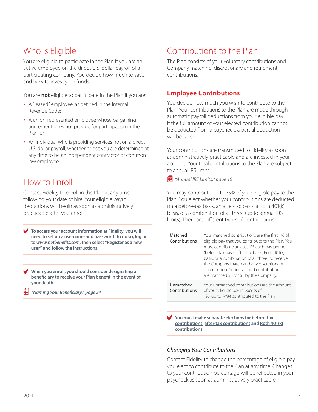# <span id="page-8-0"></span>Who Is Eligible

You are eligible to participate in the Plan if you are an active employee on the direct U.S. dollar payroll of a participating company. You decide how much to save and how to invest your funds.

You are **not** eligible to participate in the Plan if you are:

- A "leased" employee, as defined in the Internal Revenue Code;
- A union-represented employee whose bargaining agreement does not provide for participation in the Plan; or
- An individual who is providing services not on a direct U.S. dollar payroll, whether or not you are determined at any time to be an independent contractor or common law employee.

# How to Enroll

Contact Fidelity to enroll in the Plan at any time following your date of hire. Your eligible payroll deductions will begin as soon as administratively practicable after you enroll.

To access your account information at Fidelity, you will **need to set up a username and password. To do so, log on to** *[www.netbenefits.com](http://www.netbenefits.com)***, then select "Register as a new user" and follow the instructions.** 

c **When you enroll, you should consider designating a beneficiary to receive your Plan benefit in the event of your death.** 

p *"Naming Your Beneficiary," page 24*

# Contributions to the Plan

The Plan consists of your voluntary contributions and Company matching, discretionary and retirement contributions.

## **Employee Contributions**

You decide how much you wish to contribute to the Plan. Your contributions to the Plan are made through automatic payroll deductions from your eligible pay. If the full amount of your elected contribution cannot be deducted from a paycheck, a partial deduction will be taken.

Your contributions are transmitted to Fidelity as soon as administratively practicable and are invested in your account. Your total contributions to the Plan are subject to annual IRS limits.

p *"Annual IRS Limits," page 10*

You may contribute up to 75% of your eligible pay to the Plan. You elect whether your contributions are deducted on a before-tax basis, an after-tax basis, a Roth 401(k) basis, or a combination of all three (up to annual IRS limits). There are different types of contributions:

| Matched<br>Contributions   | Your matched contributions are the first 1% of<br>eligible pay that you contribute to the Plan. You<br>must contribute at least 1% each pay period<br>(before-tax basis, after-tax basis, Roth 401(k)<br>basis, or a combination of all three) to receive<br>the Company match and any discretionary<br>contribution Your matched contributions<br>are matched \$6 for \$1 by the Company. |
|----------------------------|--------------------------------------------------------------------------------------------------------------------------------------------------------------------------------------------------------------------------------------------------------------------------------------------------------------------------------------------------------------------------------------------|
| Unmatched<br>Contributions | Your unmatched contributions are the amount<br>of your eligible pay in excess of<br>1% (up to 74%) contributed to the Plan.                                                                                                                                                                                                                                                                |

You must make separate elections for **before-tax contributions, after-tax contributions and Roth 401(k) contributions.**

### *Changing Your Contributions*

Contact Fidelity to change the percentage of eligible pay you elect to contribute to the Plan at any time. Changes to your contribution percentage will be reflected in your paycheck as soon as administratively practicable.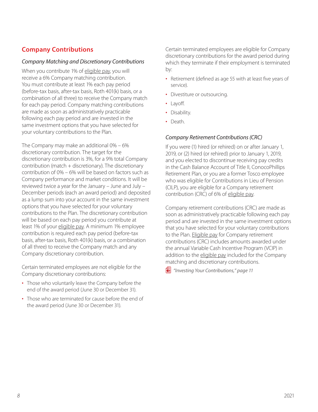## <span id="page-9-0"></span>**Company Contributions**

### *Company Matching and Discretionary Contributions*

When you contribute 1% of eligible pay, you will receive a 6% Company matching contribution. You must contribute at least 1% each pay period (before-tax basis, after-tax basis, Roth 401(k) basis, or a combination of all three) to receive the Company match for each pay period. Company matching contributions are made as soon as administratively practicable following each pay period and are invested in the same investment options that you have selected for your voluntary contributions to the Plan.

The Company may make an additional 0% – 6% discretionary contribution. The target for the discretionary contribution is 3%, for a 9% total Company contribution (match + discretionary). The discretionary contribution of 0% – 6% will be based on factors such as Company performance and market conditions. It will be reviewed twice a year for the January – June and July – December periods (each an award period) and deposited as a lump sum into your account in the same investment options that you have selected for your voluntary contributions to the Plan. The discretionary contribution will be based on each pay period you contribute at least 1% of your eligible pay. A minimum 1% employee contribution is required each pay period (before-tax basis, after-tax basis, Roth 401(k) basis, or a combination of all three) to receive the Company match and any Company discretionary contribution.

Certain terminated employees are not eligible for the Company discretionary contributions:

- Those who voluntarily leave the Company before the end of the award period (June 30 or December 31).
- Those who are terminated for cause before the end of the award period (June 30 or December 31).

Certain terminated employees are eligible for Company discretionary contributions for the award period during which they terminate if their employment is terminated by:

- Retirement (defined as age 55 with at least five years of service).
- Divestiture or outsourcing.
- Layoff.
- Disability.
- Death.

### *Company Retirement Contributions (CRC)*

If you were (1) hired (or rehired) on or after January 1, 2019, or (2) hired (or rehired) prior to January 1, 2019, and you elected to discontinue receiving pay credits in the Cash Balance Account of Title II, ConocoPhillips Retirement Plan, or you are a former Tosco employee who was eligible for Contributions in Lieu of Pension (CILP), you are eligible for a Company retirement contribution (CRC) of 6% of eligible pay.

Company retirement contributions (CRC) are made as soon as administratively practicable following each pay period and are invested in the same investment options that you have selected for your voluntary contributions to the Plan. Eligible pay for Company retirement contributions (CRC) includes amounts awarded under the annual Variable Cash Incentive Program (VCIP) in addition to the eligible pay included for the Company matching and discretionary contributions.

p *"Investing Your Contributions," page 11*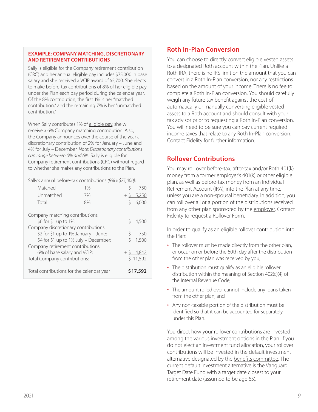#### <span id="page-10-0"></span>**EXAMPLE: COMPANY MATCHING, DISCRETIONARY AND RETIREMENT CONTRIBUTIONS**

Sally is eligible for the Company retirement contribution (CRC) and her annual eligible pay includes \$75,000 in base salary and she received a VCIP award of \$5,700. She elects to make before-tax contributions of 8% of her eligible pay under the Plan each pay period during the calendar year. Of the 8% contribution, the first 1% is her "matched contribution," and the remaining 7% is her "unmatched contribution."

When Sally contributes 1% of eligible pay, she will receive a 6% Company matching contribution. Also, the Company announces over the course of the year a discretionary contribution of 2% for January – June and 4% for July – December. *Note: Discretionary contributions can range between 0% and 6%.* Sally is eligible for Company retirement contributions (CRC) without regard to whether she makes any contributions to the Plan.

#### Sally's annual before-tax contributions *(8% x \$75,000)*:

| Matched                                   | 1%                                   |          | 750          |
|-------------------------------------------|--------------------------------------|----------|--------------|
| Unmatched                                 | 7%                                   |          | $+$ \$ 5,250 |
| Total                                     | 8%                                   |          | 6,000        |
| Company matching contributions            |                                      |          |              |
| \$6 for \$1 up to 1%:                     |                                      | Ŝ        | 4,500        |
| Company discretionary contributions       |                                      |          |              |
|                                           | \$2 for \$1 up to 1% January - June: | \$       | 750          |
| \$4 for \$1 up to 1% July - December:     |                                      | ς        | 1,500        |
| Company retirement contributions          |                                      |          |              |
| 6% of base salary and VCIP:               |                                      |          | $+$ \$ 4,842 |
| Total Company contributions:              |                                      | \$11,592 |              |
| Total contributions for the calendar year |                                      |          | \$17,592     |

## **Roth In-Plan Conversion**

You can choose to directly convert eligible vested assets to a designated Roth account within the Plan. Unlike a Roth IRA, there is no IRS limit on the amount that you can convert in a Roth In-Plan conversion, nor any restrictions based on the amount of your income. There is no fee to complete a Roth In-Plan conversion. You should carefully weigh any future tax benefit against the cost of automatically or manually converting eligible vested assets to a Roth account and should consult with your tax advisor prior to requesting a Roth In-Plan conversion. You will need to be sure you can pay current required income taxes that relate to any Roth In-Plan conversion. Contact Fidelity for further information.

## **Rollover Contributions**

You may roll over before-tax, after-tax and/or Roth 401(k) money from a former employer's 401(k) or other eligible plan, as well as before-tax money from an Individual Retirement Account (IRA), into the Plan at any time, unless you are a non-spousal beneficiary. In addition, you can roll over all or a portion of the distributions received from any other plan sponsored by the employer. Contact Fidelity to request a Rollover Form.

In order to qualify as an eligible rollover contribution into the Plan:

- The rollover must be made directly from the other plan, or occur on or before the 60th day after the distribution from the other plan was received by you;
- The distribution must qualify as an eligible rollover distribution within the meaning of Section 402(c)(4) of the Internal Revenue Code;
- The amount rolled over cannot include any loans taken from the other plan; and
- Any non-taxable portion of the distribution must be identified so that it can be accounted for separately under this Plan.

You direct how your rollover contributions are invested among the various investment options in the Plan. If you do not elect an investment fund allocation, your rollover contributions will be invested in the default investment alternative designated by the benefits committee. The current default investment alternative is the Vanguard Target Date Fund with a target date closest to your retirement date (assumed to be age 65).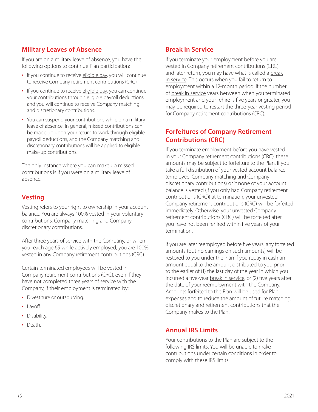# <span id="page-11-0"></span>**Military Leaves of Absence**

If you are on a military leave of absence, you have the following options to continue Plan participation:

- If you continue to receive eligible pay, you will continue to receive Company retirement contributions (CRC).
- If you continue to receive eligible pay, you can continue your contributions through eligible payroll deductions and you will continue to receive Company matching and discretionary contributions.
- You can suspend your contributions while on a military leave of absence. In general, missed contributions can be made up upon your return to work through eligible payroll deductions, and the Company matching and discretionary contributions will be applied to eligible make-up contributions.

The only instance where you can make up missed contributions is if you were on a military leave of absence.

## **Vesting**

Vesting refers to your right to ownership in your account balance. You are always 100% vested in your voluntary contributions, Company matching and Company discretionary contributions.

After three years of service with the Company, or when you reach age 65 while actively employed, you are 100% vested in any Company retirement contributions (CRC).

Certain terminated employees will be vested in Company retirement contributions (CRC), even if they have not completed three years of service with the Company, if their employment is terminated by:

- Divestiture or outsourcing.
- Layoff.
- Disability.
- Death.

## **Break in Service**

If you terminate your employment before you are vested in Company retirement contributions (CRC) and later return, you may have what is called a break in service. This occurs when you fail to return to employment within a 12-month period. If the number of break in service years between when you terminated employment and your rehire is five years or greater, you may be required to restart the three-year vesting period for Company retirement contributions (CRC).

## **Forfeitures of Company Retirement Contributions (CRC)**

If you terminate employment before you have vested in your Company retirement contributions (CRC), these amounts may be subject to forfeiture to the Plan. If you take a full distribution of your vested account balance (employee, Company matching and Company discretionary contributions) or if none of your account balance is vested (if you only had Company retirement contributions (CRC)) at termination, your unvested Company retirement contributions (CRC) will be forfeited immediately. Otherwise, your unvested Company retirement contributions (CRC) will be forfeited after you have not been rehired within five years of your termination.

If you are later reemployed before five years, any forfeited amounts (but no earnings on such amounts) will be restored to you under the Plan if you repay in cash an amount equal to the amount distributed to you prior to the earlier of (1) the last day of the year in which you incurred a five-year break in service, or (2) five years after the date of your reemployment with the Company. Amounts forfeited to the Plan will be used for Plan expenses and to reduce the amount of future matching, discretionary and retirement contributions that the Company makes to the Plan.

## **Annual IRS Limits**

Your contributions to the Plan are subject to the following IRS limits. You will be unable to make contributions under certain conditions in order to comply with these IRS limits.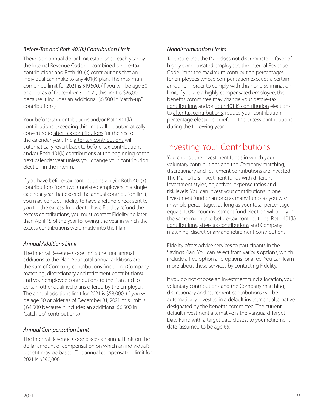## <span id="page-12-0"></span>*Before-Tax and Roth 401(k) Contribution Limit*

There is an annual dollar limit established each year by the Internal Revenue Code on combined before-tax contributions and Roth 401(k) contributions that an individual can make to any 401(k) plan. The maximum combined limit for 2021 is \$19,500. (If you will be age 50 or older as of December 31, 2021, this limit is \$26,000 because it includes an additional \$6,500 in "catch-up" contributions.)

Your before-tax contributions and/or Roth 401(k) contributions exceeding this limit will be automatically converted to after-tax contributions for the rest of the calendar year. The after-tax contributions will automatically revert back to before-tax contributions and/or Roth 401(k) contributions at the beginning of the next calendar year unless you change your contribution election in the interim.

If you have before-tax contributions and/or Roth 401(k) contributions from two unrelated employers in a single calendar year that exceed the annual contribution limit, you may contact Fidelity to have a refund check sent to you for the excess. In order to have Fidelity refund the excess contributions, you must contact Fidelity no later than April 15 of the year following the year in which the excess contributions were made into the Plan.

## *Annual Additions Limit*

The Internal Revenue Code limits the total annual additions to the Plan. Your total annual additions are the sum of Company contributions (including Company matching, discretionary and retirement contributions) and your employee contributions to the Plan and to certain other qualified plans offered by the employer. The annual additions limit for 2021 is \$58,000. (If you will be age 50 or older as of December 31, 2021, this limit is \$64,500 because it includes an additional \$6,500 in "catch-up" contributions.)

## *Annual Compensation Limit*

The Internal Revenue Code places an annual limit on the dollar amount of compensation on which an individual's benefit may be based. The annual compensation limit for 2021 is \$290,000.

### *Nondiscrimination Limits*

To ensure that the Plan does not discriminate in favor of highly compensated employees, the Internal Revenue Code limits the maximum contribution percentages for employees whose compensation exceeds a certain amount. In order to comply with this nondiscrimination limit, if you are a highly compensated employee, the benefits committee may change your before-tax contributions and/or Roth 401(k) contribution elections to after-tax contributions, reduce your contribution percentage elections or refund the excess contributions during the following year.

# Investing Your Contributions

You choose the investment funds in which your voluntary contributions and the Company matching, discretionary and retirement contributions are invested. The Plan offers investment funds with different investment styles, objectives, expense ratios and risk levels. You can invest your contributions in one investment fund or among as many funds as you wish, in whole percentages, as long as your total percentage equals 100%. Your investment fund election will apply in the same manner to before-tax contributions, Roth 401(k) contributions, after-tax contributions and Company matching, discretionary and retirement contributions.

Fidelity offers advice services to participants in the Savings Plan. You can select from various options, which include a free option and options for a fee. You can learn more about these services by contacting Fidelity.

If you do not choose an investment fund allocation, your voluntary contributions and the Company matching, discretionary and retirement contributions will be automatically invested in a default investment alternative designated by the benefits committee. The current default investment alternative is the Vanguard Target Date Fund with a target date closest to your retirement date (assumed to be age 65).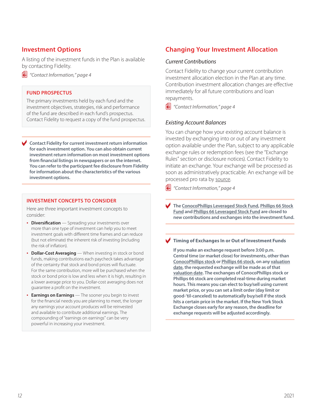## <span id="page-13-0"></span>**Investment Options**

A listing of the investment funds in the Plan is available by contacting Fidelity.

p *"Contact Information," page 4*

#### **FUND PROSPECTUS**

The primary investments held by each fund and the investment objectives, strategies, risk and performance of the fund are described in each fund's prospectus. Contact Fidelity to request a copy of the fund prospectus.

c **Contact Fidelity for current investment return information for each investment option. You can also obtain current investment return information on most investment options from financial listings in newspapers or on the internet. You can refer to the participant fee disclosure from Fidelity for information about the characteristics of the various investment options.**

#### **INVESTMENT CONCEPTS TO CONSIDER**

Here are three important investment concepts to consider:

- **Diversification** Spreading your investments over more than one type of investment can help you to meet investment goals with different time frames and can reduce (but not eliminate) the inherent risk of investing (including the risk of inflation).
- **Dollar-Cost Averaging** When investing in stock or bond funds, making contributions each paycheck takes advantage of the certainty that stock and bond prices will fluctuate. For the same contribution, more will be purchased when the stock or bond price is low and less when it is high, resulting in a lower average price to you. Dollar-cost averaging does not guarantee a profit on the investment.

• **Earnings on Earnings** — The sooner you begin to invest for the financial needs you are planning to meet, the longer any earnings your account produces will be reinvested and available to contribute additional earnings. The compounding of "earnings on earnings" can be very powerful in increasing your investment.

## **Changing Your Investment Allocation**

#### *Current Contributions*

Contact Fidelity to change your current contribution investment allocation election in the Plan at any time. Contribution investment allocation changes are effective immediately for all future contributions and loan repayments.

p *"Contact Information," page 4*

#### *Existing Account Balances*

You can change how your existing account balance is invested by exchanging into or out of any investment option available under the Plan, subject to any applicable exchange rules or redemption fees (see the "Exchange Rules" section or disclosure notices). Contact Fidelity to initiate an exchange. Your exchange will be processed as soon as administratively practicable. An exchange will be processed pro rata by source.

p *"Contact Information," page 4*

c **The ConocoPhillips Leveraged Stock Fund, Phillips 66 Stock Fund and Phillips 66 Leveraged Stock Fund are closed to new contributions and exchanges into the investment fund.**

#### **Timing of Exchanges In or Out of Investment Funds**

**If you make an exchange request before 3:00 p.m. Central time (or market close) for investments, other than ConocoPhillips stock or Phillips 66 stock, on any valuation date, the requested exchange will be made as of that valuation date. The exchanges of ConocoPhillips stock or Phillips 66 stock are completed real-time during market hours. This means you can elect to buy/sell using current market price, or you can set a limit order (day limit or good-'til-canceled) to automatically buy/sell if the stock hits a certain price in the market. If the New York Stock Exchange closes early for any reason, the deadline for exchange requests will be adjusted accordingly.**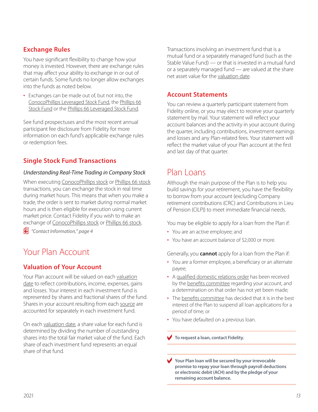## <span id="page-14-0"></span>**Exchange Rules**

You have significant flexibility to change how your money is invested. However, there are exchange rules that may affect your ability to exchange in or out of certain funds. Some funds no longer allow exchanges into the funds as noted below.

• Exchanges can be made out of, but not into, the ConocoPhillips Leveraged Stock Fund, the Phillips 66 Stock Fund or the Phillips 66 Leveraged Stock Fund.

See fund prospectuses and the most recent annual participant fee disclosure from Fidelity for more information on each fund's applicable exchange rules or redemption fees.

# **Single Stock Fund Transactions**

### *Understanding Real-Time Trading in Company Stock*

When executing ConocoPhillips stock or Phillips 66 stock transactions, you can exchange the stock in real time during market hours. This means that when you make a trade, the order is sent to market during normal market hours and is then eligible for execution using current market price. Contact Fidelity if you wish to make an exchange of ConocoPhillips stock or Phillips 66 stock.

p *"Contact Information," page 4*

# Your Plan Account

## **Valuation of Your Account**

Your Plan account will be valued on each valuation date to reflect contributions, income, expenses, gains and losses. Your interest in each investment fund is represented by shares and fractional shares of the fund. Shares in your account resulting from each source are accounted for separately in each investment fund.

On each valuation date, a share value for each fund is determined by dividing the number of outstanding shares into the total fair market value of the fund. Each share of each investment fund represents an equal share of that fund.

Transactions involving an investment fund that is a mutual fund or a separately managed fund (such as the Stable Value Fund) — or that is invested in a mutual fund or a separately managed fund — are valued at the share net asset value for the valuation date.

## **Account Statements**

You can review a quarterly participant statement from Fidelity online, or you may elect to receive your quarterly statement by mail. Your statement will reflect your account balances and the activity in your account during the quarter, including contributions, investment earnings and losses and any Plan-related fees. Your statement will reflect the market value of your Plan account at the first and last day of that quarter.

# Plan Loans

Although the main purpose of the Plan is to help you build savings for your retirement, you have the flexibility to borrow from your account (excluding Company retirement contributions (CRC) and Contributions in Lieu of Pension (CILP)) to meet immediate financial needs.

You may be eligible to apply for a loan from the Plan if:

- You are an active employee; and
- You have an account balance of \$2,000 or more.

Generally, you **cannot** apply for a loan from the Plan if:

- You are a former employee, a beneficiary or an alternate payee;
- A qualified domestic relations order has been received by the benefits committee regarding your account, and a determination on that order has not yet been made;
- The benefits committee has decided that it is in the best interest of the Plan to suspend all loan applications for a period of time; or
- You have defaulted on a previous loan.

**v** To request a loan, contact Fidelity.

Your Plan loan will be secured by your irrevocable **promise to repay your loan through payroll deductions or electronic debit (ACH) and by the pledge of your remaining account balance.**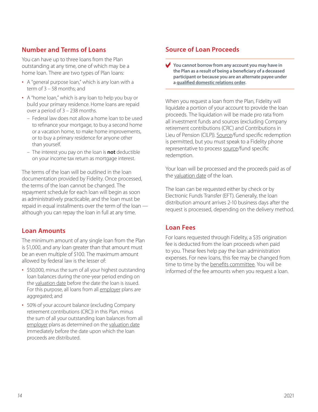## <span id="page-15-0"></span>**Number and Terms of Loans**

You can have up to three loans from the Plan outstanding at any time, one of which may be a home loan. There are two types of Plan loans:

- A "general purpose loan," which is any loan with a term of 3 – 58 months; and
- A "home loan," which is any loan to help you buy or build your primary residence. Home loans are repaid over a period of 3 – 238 months.
	- Federal law does not allow a home loan to be used to refinance your mortgage, to buy a second home or a vacation home, to make home improvements, or to buy a primary residence for anyone other than yourself.
	- The interest you pay on the loan is **not** deductible on your income tax return as mortgage interest.

The terms of the loan will be outlined in the loan documentation provided by Fidelity. Once processed, the terms of the loan cannot be changed. The repayment schedule for each loan will begin as soon as administratively practicable, and the loan must be repaid in equal installments over the term of the loan although you can repay the loan in full at any time.

## **Loan Amounts**

The minimum amount of any single loan from the Plan is \$1,000, and any loan greater than that amount must be an even multiple of \$100. The maximum amount allowed by federal law is the lesser of:

- \$50,000, minus the sum of all your highest outstanding loan balances during the one-year period ending on the valuation date before the date the loan is issued. For this purpose, all loans from all employer plans are aggregated; and
- 50% of your account balance (excluding Company retirement contributions (CRC)) in this Plan, minus the sum of all your outstanding loan balances from all employer plans as determined on the valuation date immediately before the date upon which the loan proceeds are distributed.

## **Source of Loan Proceeds**

You cannot borrow from any account you may have in **the Plan as a result of being a beneficiary of a deceased participant or because you are an alternate payee under a qualified domestic relations order.** 

When you request a loan from the Plan, Fidelity will liquidate a portion of your account to provide the loan proceeds. The liquidation will be made pro rata from all investment funds and sources (excluding Company retirement contributions (CRC) and Contributions in Lieu of Pension (CILP)). Source/fund specific redemption is permitted, but you must speak to a Fidelity phone representative to process source/fund specific redemption.

Your loan will be processed and the proceeds paid as of the valuation date of the loan.

The loan can be requested either by check or by Electronic Funds Transfer (EFT). Generally, the loan distribution amount arrives 2-10 business days after the request is processed, depending on the delivery method.

## **Loan Fees**

For loans requested through Fidelity, a \$35 origination fee is deducted from the loan proceeds when paid to you. These fees help pay the loan administration expenses. For new loans, this fee may be changed from time to time by the benefits committee. You will be informed of the fee amounts when you request a loan.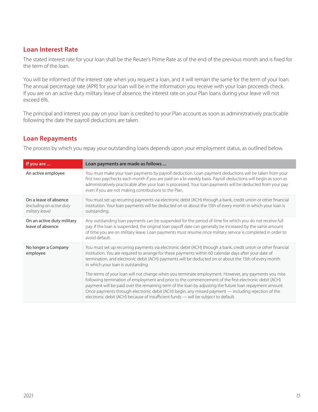## <span id="page-16-0"></span>**Loan Interest Rate**

The stated interest rate for your loan shall be the Reuter's Prime Rate as of the end of the previous month and is fixed for the term of the loan.

You will be informed of the interest rate when you request a loan, and it will remain the same for the term of your loan. The annual percentage rate (APR) for your loan will be in the information you receive with your loan proceeds check. If you are on an active duty military leave of absence, the interest rate on your Plan loans during your leave will not exceed 6%.

The principal and interest you pay on your loan is credited to your Plan account as soon as administratively practicable following the date the payroll deductions are taken.

## **Loan Repayments**

The process by which you repay your outstanding loans depends upon your employment status, as outlined below.

| If you are                                                            | Loan payments are made as follows                                                                                                                                                                                                                                                                                                                                                                                                                                                                                     |
|-----------------------------------------------------------------------|-----------------------------------------------------------------------------------------------------------------------------------------------------------------------------------------------------------------------------------------------------------------------------------------------------------------------------------------------------------------------------------------------------------------------------------------------------------------------------------------------------------------------|
| An active employee                                                    | You must make your loan payments by payroll deduction. Loan payment deductions will be taken from your<br>first two paychecks each month if you are paid on a bi-weekly basis. Payroll deductions will begin as soon as<br>administratively practicable after your loan is processed. Your loan payments will be deducted from your pay<br>even if you are not making contributions to the Plan.                                                                                                                      |
| On a leave of absence<br>(excluding an active duty<br>military leave) | You must set up recurring payments via electronic debit (ACH) through a bank, credit union or other financial<br>institution. Your loan payments will be deducted on or about the 15th of every month in which your loan is<br>outstanding.                                                                                                                                                                                                                                                                           |
| On an active duty military<br>leave of absence                        | Any outstanding loan payments can be suspended for the period of time for which you do not receive full<br>pay. If the loan is suspended, the original loan payoff date can generally be increased by the same amount<br>of time you are on military leave. Loan payments must resume once military service is completed in order to<br>avoid default.                                                                                                                                                                |
| No longer a Company<br>employee                                       | You must set up recurring payments via electronic debit (ACH) through a bank, credit union or other financial<br>institution. You are required to arrange for these payments within 60 calendar days after your date of<br>termination, and electronic debit (ACH) payments will be deducted on or about the 15th of every month<br>in which your loan is outstanding.                                                                                                                                                |
|                                                                       | The terms of your loan will not change when you terminate employment. However, any payments you miss<br>following termination of employment and prior to the commencement of the first electronic debit (ACH)<br>payment will be paid over the remaining term of the loan by adjusting the future loan repayment amount.<br>Once payments through electronic debit (ACH) begin, any missed payment — including rejection of the<br>electronic debit (ACH) because of insufficient funds - will be subject to default. |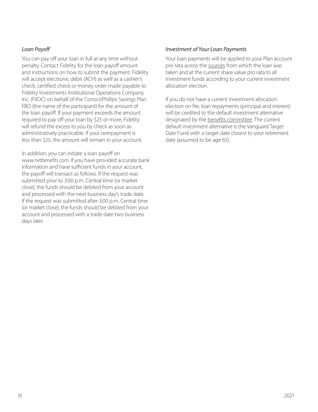### <span id="page-17-0"></span>*Loan Payoff*

You can pay off your loan in full at any time without penalty. Contact Fidelity for the loan payoff amount and instructions on how to submit the payment. Fidelity will accept electronic debit (ACH) as well as a cashier's check, certified check or money order made payable to Fidelity Investments Institutional Operations Company, Inc. (FIIOC) on behalf of the ConocoPhillips Savings Plan FBO (the name of the participant) for the amount of the loan payoff. If your payment exceeds the amount required to pay off your loan by \$25 or more, Fidelity will refund the excess to you by check as soon as administratively practicable. If your overpayment is less than \$25, the amount will remain in your account.

In addition, you can initiate a loan payoff on *[www.netbenefits.com](http://www.netbenefits.com)*. If you have provided accurate bank information and have sufficient funds in your account, the payoff will transact as follows. If the request was submitted prior to 3:00 p.m. Central time (or market close), the funds should be debited from your account and processed with the next business day's trade date. If the request was submitted after 3:00 p.m. Central time (or market close), the funds should be debited from your account and processed with a trade date two business days later.

### *Investment of Your Loan Payments*

Your loan payments will be applied to your Plan account pro rata across the sources from which the loan was taken and at the current share value pro rata to all investment funds according to your current investment allocation election.

If you do not have a current investment allocation election on file, loan repayments (principal and interest) will be credited to the default investment alternative designated by the benefits committee. The current default investment alternative is the Vanguard Target Date Fund with a target date closest to your retirement date (assumed to be age 65).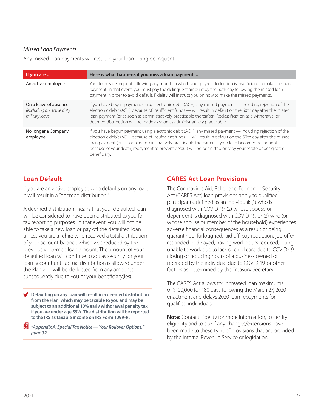### <span id="page-18-0"></span>*Missed Loan Payments*

Any missed loan payments will result in your loan being delinquent.

| If you are                                                            | Here is what happens if you miss a loan payment                                                                                                                                                                                                                                                                                                                                                                                                               |
|-----------------------------------------------------------------------|---------------------------------------------------------------------------------------------------------------------------------------------------------------------------------------------------------------------------------------------------------------------------------------------------------------------------------------------------------------------------------------------------------------------------------------------------------------|
| An active employee                                                    | Your loan is delinquent following any month in which your payroll deduction is insufficient to make the loan<br>payment. In that event, you must pay the delinquent amount by the 60th day following the missed loan<br>payment in order to avoid default. Fidelity will instruct you on how to make the missed payments.                                                                                                                                     |
| On a leave of absence<br>(excluding an active duty<br>military leave) | If you have begun payment using electronic debit (ACH), any missed payment — including rejection of the<br>electronic debit (ACH) because of insufficient funds — will result in default on the 60th day after the missed<br>loan payment (or as soon as administratively practicable thereafter). Reclassification as a withdrawal or<br>deemed distribution will be made as soon as administratively practicable.                                           |
| No longer a Company<br>employee                                       | If you have begun payment using electronic debit (ACH), any missed payment — including rejection of the<br>electronic debit (ACH) because of insufficient funds - will result in default on the 60th day after the missed<br>loan payment (or as soon as administratively practicable thereafter). If your loan becomes delinquent<br>because of your death, repayment to prevent default will be permitted only by your estate or designated<br>beneficiary. |

## **Loan Default**

If you are an active employee who defaults on any loan, it will result in a "deemed distribution."

A deemed distribution means that your defaulted loan will be considered to have been distributed to you for tax reporting purposes. In that event, you will not be able to take a new loan or pay off the defaulted loan unless you are a rehire who received a total distribution of your account balance which was reduced by the previously deemed loan amount. The amount of your defaulted loan will continue to act as security for your loan account until actual distribution is allowed under the Plan and will be deducted from any amounts subsequently due to you or your beneficiary(ies).

c **Defaulting on any loan will result in a deemed distribution from the Plan, which may be taxable to you and may be subject to an additional 10% early withdrawal penalty tax if you are under age 59½. The distribution will be reported to the IRS as taxable income on IRS Form 1099-R.**

p *"Appendix A: Special Tax Notice — Your Rollover Options," page 32*

## **CARES Act Loan Provisions**

The Coronavirus Aid, Relief, and Economic Security Act (CARES Act) loan provisions apply to qualified participants, defined as an individual: (1) who is diagnosed with COVID-19, (2) whose spouse or dependent is diagnosed with COVID-19, or (3) who (or whose spouse or member of the household) experiences adverse financial consequences as a result of being quarantined, furloughed, laid off, pay reduction, job offer rescinded or delayed, having work hours reduced, being unable to work due to lack of child care due to COVID-19, closing or reducing hours of a business owned or operated by the individual due to COVID-19, or other factors as determined by the Treasury Secretary.

The CARES Act allows for increased loan maximums of \$100,000 for 180 days following the March 27, 2020 enactment and delays 2020 loan repayments for qualified individuals.

**Note:** Contact Fidelity for more information, to certify eligibility and to see if any changes/extensions have been made to these type of provisions that are provided by the Internal Revenue Service or legislation.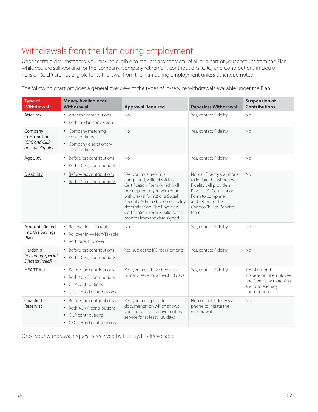# <span id="page-19-0"></span>Withdrawals from the Plan during Employment

Under certain circumstances, you may be eligible to request a withdrawal of all or a part of your account from the Plan while you are still working for the Company. Company retirement contributions (CRC) and Contributions in Lieu of Pension (CILP) are not eligible for withdrawal from the Plan during employment unless otherwise noted.

The following chart provides a general overview of the types of in-service withdrawals available under the Plan.

| <b>Type of</b><br><b>Withdrawal</b>                            | <b>Money Available for</b><br><b>Withdrawal</b>                                                                                                             | <b>Approval Required</b>                                                                                                                                                                                                                                                                             | <b>Paperless Withdrawal</b>                                                                                                                                                                     | <b>Suspension of</b><br><b>Contributions</b>                                                           |
|----------------------------------------------------------------|-------------------------------------------------------------------------------------------------------------------------------------------------------------|------------------------------------------------------------------------------------------------------------------------------------------------------------------------------------------------------------------------------------------------------------------------------------------------------|-------------------------------------------------------------------------------------------------------------------------------------------------------------------------------------------------|--------------------------------------------------------------------------------------------------------|
| After-tax                                                      | • After-tax contributions<br>• Roth In-Plan conversion                                                                                                      | <b>No</b>                                                                                                                                                                                                                                                                                            | Yes, contact Fidelity                                                                                                                                                                           | <b>No</b>                                                                                              |
| Company<br>Contributions<br>(CRC and CILP<br>are not eligible) | • Company matching<br>contributions<br>• Company discretionary<br>contributions                                                                             | <b>No</b>                                                                                                                                                                                                                                                                                            | Yes, contact Fidelity                                                                                                                                                                           | No                                                                                                     |
| Age 591/2                                                      | Before-tax contributions<br>$\bullet$<br>Roth 401(k) contributions<br>$\bullet$                                                                             | <b>No</b>                                                                                                                                                                                                                                                                                            | Yes, contact Fidelity                                                                                                                                                                           | <b>No</b>                                                                                              |
| Disability                                                     | Before-tax contributions<br>$\bullet$<br>Roth 401(k) contributions<br>$\bullet$                                                                             | Yes, you must return a<br>completed, valid Physician<br>Certification Form (which will<br>be supplied to you with your<br>withdrawal forms) or a Social<br>Security Administration disability<br>determination. The Physician<br>Certification Form is valid for six<br>months from the date signed. | No, call Fidelity via phone<br>to initiate the withdrawal.<br>Fidelity will provide a<br>Physician's Certification<br>Form to complete<br>and return to the<br>ConocoPhillips Benefits<br>team. | <b>No</b>                                                                                              |
| <b>Amounts Rolled</b><br>into the Savings<br>Plan              | • Rollover In - Taxable<br>Rollover In - Non-Taxable<br>Roth direct rollover<br>$\bullet$                                                                   | <b>No</b>                                                                                                                                                                                                                                                                                            | Yes, contact Fidelity                                                                                                                                                                           | No                                                                                                     |
| Hardship<br>(including Special<br>Disaster Relief)             | Before-tax contributions<br>Roth 401(k) contributions<br>$\bullet$                                                                                          | Yes, subject to IRS requirements                                                                                                                                                                                                                                                                     | Yes, contact Fidelity                                                                                                                                                                           | <b>No</b>                                                                                              |
| <b>HEART Act</b>                                               | Before-tax contributions<br>$\bullet$<br>Roth 401(k) contributions<br>$\bullet$<br>CILP contributions<br>$\bullet$<br>CRC vested contributions<br>$\bullet$ | Yes, you must have been on<br>military leave for at least 30 days                                                                                                                                                                                                                                    | Yes, contact Fidelity                                                                                                                                                                           | Yes, six-month<br>suspension of employee<br>and Company matching<br>and discretionary<br>contributions |
| Oualified<br>Reservist                                         | Before-tax contributions<br>$\bullet$<br>Roth 401(k) contributions<br>$\bullet$<br>CILP contributions<br>• CRC vested contributions                         | Yes, you must provide<br>documentation which shows<br>you are called to active military<br>service for at least 180 days                                                                                                                                                                             | No, contact Fidelity via<br>phone to initiate the<br>withdrawal                                                                                                                                 | <b>No</b>                                                                                              |

Once your withdrawal request is received by Fidelity, it is irrevocable.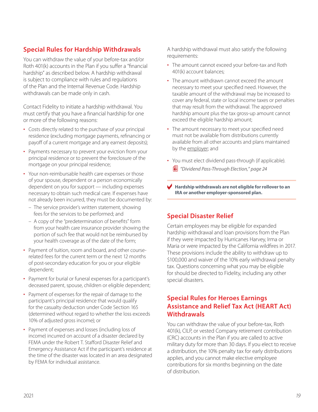# <span id="page-20-0"></span>**Special Rules for Hardship Withdrawals**

You can withdraw the value of your before-tax and/or Roth 401(k) accounts in the Plan if you suffer a "financial hardship" as described below. A hardship withdrawal is subject to compliance with rules and regulations of the Plan and the Internal Revenue Code. Hardship withdrawals can be made only in cash.

Contact Fidelity to initiate a hardship withdrawal. You must certify that you have a financial hardship for one or more of the following reasons:

- Costs directly related to the purchase of your principal residence (excluding mortgage payments, refinancing or payoff of a current mortgage and any earnest deposits);
- Payments necessary to prevent your eviction from your principal residence or to prevent the foreclosure of the mortgage on your principal residence;
- Your non-reimbursable health care expenses or those of your spouse, dependent or a person economically dependent on you for support — including expenses necessary to obtain such medical care. If expenses have not already been incurred, they must be documented by:
	- The service provider's written statement, showing fees for the services to be performed; and
	- A copy of the "predetermination of benefits" form from your health care insurance provider showing the portion of such fee that would not be reimbursed by your health coverage as of the date of the form;
- Payment of tuition, room and board, and other courserelated fees for the current term or the next 12 months of post-secondary education for you or your eligible dependent;
- Payment for burial or funeral expenses for a participant's deceased parent, spouse, children or eligible dependent;
- Payment of expenses for the repair of damage to the participant's principal residence that would qualify for the casualty deduction under Code Section 165 (determined without regard to whether the loss exceeds 10% of adjusted gross income); or
- Payment of expenses and losses (including loss of income) incurred on account of a disaster declared by FEMA under the Robert T. Stafford Disaster Relief and Emergency Assistance Act if the participant's residence at the time of the disaster was located in an area designated by FEMA for individual assistance.

A hardship withdrawal must also satisfy the following requirements:

- The amount cannot exceed your before-tax and Roth 401(k) account balances;
- The amount withdrawn cannot exceed the amount necessary to meet your specified need. However, the taxable amount of the withdrawal may be increased to cover any federal, state or local income taxes or penalties that may result from the withdrawal. The approved hardship amount plus the tax gross-up amount cannot exceed the eligible hardship amount;
- The amount necessary to meet your specified need must not be available from distributions currently available from all other accounts and plans maintained by the employer; and
- You must elect dividend pass-through (if applicable). p *"Dividend Pass-Through Election," page 24*

c **Hardship withdrawals are not eligible for rollover to an IRA or another employer-sponsored plan.**

## **Special Disaster Relief**

Certain employees may be eligible for expanded hardship withdrawal and loan provisions from the Plan if they were impacted by Hurricanes Harvey, Irma or Maria or were impacted by the California wildfires in 2017. These provisions include the ability to withdraw up to \$100,000 and waiver of the 10% early withdrawal penalty tax. Questions concerning what you may be eligible for should be directed to Fidelity, including any other special disasters.

## **Special Rules for Heroes Earnings Assistance and Relief Tax Act (HEART Act) Withdrawals**

You can withdraw the value of your before-tax, Roth 401(k), CILP, or vested Company retirement contribution (CRC) accounts in the Plan if you are called to active military duty for more than 30 days. If you elect to receive a distribution, the 10% penalty tax for early distributions applies, and you cannot make elective employee contributions for six months beginning on the date of distribution.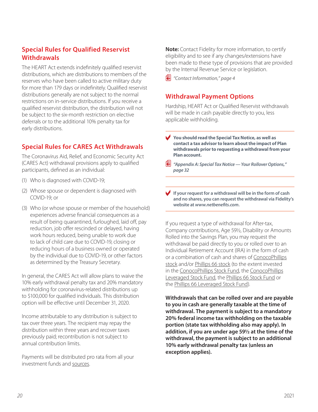## <span id="page-21-0"></span>**Special Rules for Qualified Reservist Withdrawals**

The HEART Act extends indefinitely qualified reservist distributions, which are distributions to members of the reserves who have been called to active military duty for more than 179 days or indefinitely. Qualified reservist distributions generally are not subject to the normal restrictions on in-service distributions. If you receive a qualified reservist distribution, the distribution will not be subject to the six-month restriction on elective deferrals or to the additional 10% penalty tax for early distributions.

# **Special Rules for CARES Act Withdrawals**

The Coronavirus Aid, Relief, and Economic Security Act (CARES Act) withdrawal provisions apply to qualified participants, defined as an individual:

- (1) Who is diagnosed with COVID-19;
- (2) Whose spouse or dependent is diagnosed with COVID-19; or
- (3) Who (or whose spouse or member of the household) experiences adverse financial consequences as a result of being quarantined, furloughed, laid off, pay reduction, job offer rescinded or delayed, having work hours reduced, being unable to work due to lack of child care due to COVID-19, closing or reducing hours of a business owned or operated by the individual due to COVID-19, or other factors as determined by the Treasury Secretary.

In general, the CARES Act will allow plans to waive the 10% early withdrawal penalty tax and 20% mandatory withholding for coronavirus-related distributions up to \$100,000 for qualified individuals. This distribution option will be effective until December 31, 2020.

Income attributable to any distribution is subject to tax over three years. The recipient may repay the distribution within three years and recover taxes previously paid; recontribution is not subject to annual contribution limits.

Payments will be distributed pro rata from all your investment funds and sources.

**Note:** Contact Fidelity for more information, to certify eligibility and to see if any changes/extensions have been made to these type of provisions that are provided by the Internal Revenue Service or legislation.

p *"Contact Information," page 4*

## **Withdrawal Payment Options**

Hardship, HEART Act or Qualified Reservist withdrawals will be made in cash payable directly to you, less applicable withholding.

- You should read the Special Tax Notice, as well as **contact a tax advisor to learn about the impact of Plan withdrawals prior to requesting a withdrawal from your Plan account.**
- p *"Appendix A: Special Tax Notice Your Rollover Options," page 32*
- c **If your request for a withdrawal will be in the form of cash and no shares, you can request the withdrawal via Fidelity's website at** *[www.netbenefits.com](http://www.netbenefits.com)***.**

If you request a type of withdrawal for After-tax, Company contributions, Age 59½, Disability or Amounts Rolled into the Savings Plan, you may request the withdrawal be paid directly to you or rolled over to an Individual Retirement Account (IRA) in the form of cash or a combination of cash and shares of ConocoPhillips stock and/or Phillips 66 stock (to the extent invested in the ConocoPhillips Stock Fund, the ConocoPhillips Leveraged Stock Fund, the Phillips 66 Stock Fund or the Phillips 66 Leveraged Stock Fund).

**Withdrawals that can be rolled over and are payable to you in cash are generally taxable at the time of withdrawal. The payment is subject to a mandatory 20% federal income tax withholding on the taxable portion (state tax withholding also may apply). In addition, if you are under age 59½ at the time of the withdrawal, the payment is subject to an additional 10% early withdrawal penalty tax (unless an exception applies).**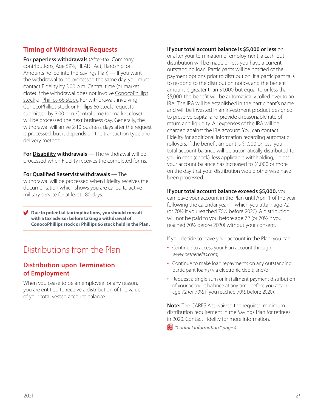## <span id="page-22-0"></span>**Timing of Withdrawal Requests**

**For paperless withdrawals** (After-tax, Company contributions, Age 59½, HEART Act, Hardship, or Amounts Rolled into the Savings Plan) — If you want the withdrawal to be processed the same day, you must contact Fidelity by 3:00 p.m. Central time (or market close) if the withdrawal does not involve ConocoPhillips stock or Phillips 66 stock. For withdrawals involving ConocoPhillips stock or Phillips 66 stock, requests submitted by 3:00 p.m. Central time (or market close) will be processed the next business day. Generally, the withdrawal will arrive 2-10 business days after the request is processed, but it depends on the transaction type and delivery method.

**For Disability withdrawals** — The withdrawal will be processed when Fidelity receives the completed forms.

**For Qualified Reservist withdrawals** — The withdrawal will be processed when Fidelity receives the documentation which shows you are called to active military service for at least 180 days.

c **Due to potential tax implications, you should consult with a tax advisor before taking a withdrawal of ConocoPhillips stock or Phillips 66 stock held in the Plan.**

# Distributions from the Plan

## **Distribution upon Termination of Employment**

When you cease to be an employee for any reason, you are entitled to receive a distribution of the value of your total vested account balance.

### **If your total account balance is \$5,000 or less** on

or after your termination of employment, a cash-out distribution will be made unless you have a current outstanding loan. Participants will be notified of the payment options prior to distribution. If a participant fails to respond to the distribution notice, and the benefit amount is greater than \$1,000 but equal to or less than \$5,000, the benefit will be automatically rolled over to an IRA. The IRA will be established in the participant's name and will be invested in an investment product designed to preserve capital and provide a reasonable rate of return and liquidity. All expenses of the IRA will be charged against the IRA account. You can contact Fidelity for additional information regarding automatic rollovers. If the benefit amount is \$1,000 or less, your total account balance will be automatically distributed to you in cash (check), less applicable withholding, unless your account balance has increased to \$1,000 or more on the day that your distribution would otherwise have been processed.

#### **If your total account balance exceeds \$5,000,** you

can leave your account in the Plan until April 1 of the year following the calendar year in which you attain age 72 (or 70½ if you reached 70½ before 2020). A distribution will not be paid to you before age 72 (or 70½ if you reached 70½ before 2020) without your consent.

If you decide to leave your account in the Plan, you can:

- Continue to access your Plan account through *[www.netbenefits.com](http://www.netbenefits.com)*;
- Continue to make loan repayments on any outstanding participant loan(s) via electronic debit; and/or
- Request a single sum or installment payment distribution of your account balance at any time before you attain age 72 (or 70½ if you reached 70½ before 2020).

**Note:** The CARES Act waived the required minimum distribution requirement in the Savings Plan for retirees in 2020. Contact Fidelity for more information.

p *"Contact Information," page 4*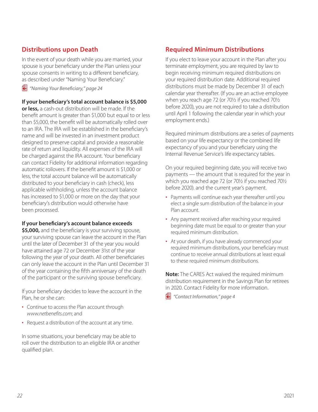## <span id="page-23-0"></span>**Distributions upon Death**

In the event of your death while you are married, your spouse is your beneficiary under the Plan unless your spouse consents in writing to a different beneficiary, as described under "Naming Your Beneficiary."

p *"Naming Your Beneficiary," page 24*

### **If your beneficiary's total account balance is \$5,000**

**or less,** a cash-out distribution will be made. If the benefit amount is greater than \$1,000 but equal to or less than \$5,000, the benefit will be automatically rolled over to an IRA. The IRA will be established in the beneficiary's name and will be invested in an investment product designed to preserve capital and provide a reasonable rate of return and liquidity. All expenses of the IRA will be charged against the IRA account. Your beneficiary can contact Fidelity for additional information regarding automatic rollovers. If the benefit amount is \$1,000 or less, the total account balance will be automatically distributed to your beneficiary in cash (check), less applicable withholding, unless the account balance has increased to \$1,000 or more on the day that your beneficiary's distribution would otherwise have been processed.

### **If your beneficiary's account balance exceeds**

**\$5,000,** and the beneficiary is your surviving spouse, your surviving spouse can leave the account in the Plan until the later of December 31 of the year you would have attained age 72 or December 31st of the year following the year of your death. All other beneficiaries can only leave the account in the Plan until December 31 of the year containing the fifth anniversary of the death of the participant or the surviving spouse beneficiary.

If your beneficiary decides to leave the account in the Plan, he or she can:

- Continue to access the Plan account through *[www.netbenefits.com](http://www.netbenefits.com)*; and
- Request a distribution of the account at any time.

In some situations, your beneficiary may be able to roll over the distribution to an eligible IRA or another qualified plan.

## **Required Minimum Distributions**

If you elect to leave your account in the Plan after you terminate employment, you are required by law to begin receiving minimum required distributions on your required distribution date. Additional required distributions must be made by December 31 of each calendar year thereafter. (If you are an active employee when you reach age 72 (or 70½ if you reached 70½ before 2020), you are not required to take a distribution until April 1 following the calendar year in which your employment ends.)

Required minimum distributions are a series of payments based on your life expectancy or the combined life expectancy of you and your beneficiary using the Internal Revenue Service's life expectancy tables.

On your required beginning date, you will receive two payments — the amount that is required for the year in which you reached age 72 (or 70½ if you reached 70½ before 2020). and the current year's payment.

- Payments will continue each year thereafter until you elect a single sum distribution of the balance in your Plan account.
- Any payment received after reaching your required beginning date must be equal to or greater than your required minimum distribution.
- At your death, if you have already commenced your required minimum distributions, your beneficiary must continue to receive annual distributions at least equal to these required minimum distributions.

**Note:** The CARES Act waived the required minimum distribution requirement in the Savings Plan for retirees in 2020. Contact Fidelity for more information.

p *"Contact Information," page 4*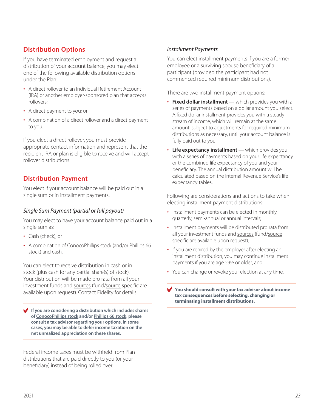## <span id="page-24-0"></span>**Distribution Options**

If you have terminated employment and request a distribution of your account balance, you may elect one of the following available distribution options under the Plan:

- A direct rollover to an Individual Retirement Account (IRA) or another employer-sponsored plan that accepts rollovers;
- A direct payment to you; or
- A combination of a direct rollover and a direct payment to you.

If you elect a direct rollover, you must provide appropriate contact information and represent that the recipient IRA or plan is eligible to receive and will accept rollover distributions.

## **Distribution Payment**

You elect if your account balance will be paid out in a single sum or in installment payments.

## *Single Sum Payment (partial or full payout)*

You may elect to have your account balance paid out in a single sum as:

- Cash (check): or
- A combination of ConocoPhillips stock (and/or Phillips 66 stock) and cash.

You can elect to receive distribution in cash or in stock (plus cash for any partial share(s) of stock). Your distribution will be made pro rata from all your investment funds and sources (fund/source specific are available upon request). Contact Fidelity for details.

c **If you are considering a distribution which includes shares of ConocoPhillips stock and/or Phillips 66 stock, please consult a tax advisor regarding your options. In some cases, you may be able to defer income taxation on the net unrealized appreciation on these shares.**

Federal income taxes must be withheld from Plan distributions that are paid directly to you (or your beneficiary) instead of being rolled over.

### *Installment Payments*

You can elect installment payments if you are a former employee or a surviving spouse beneficiary of a participant (provided the participant had not commenced required minimum distributions).

There are two installment payment options:

- **Fixed dollar installment** which provides you with a series of payments based on a dollar amount you select. A fixed dollar installment provides you with a steady stream of income, which will remain at the same amount, subject to adjustments for required minimum distributions as necessary, until your account balance is fully paid out to you.
- **Life expectancy installment** which provides you with a series of payments based on your life expectancy or the combined life expectancy of you and your beneficiary. The annual distribution amount will be calculated based on the Internal Revenue Service's life expectancy tables.

Following are considerations and actions to take when electing installment payment distributions:

- Installment payments can be elected in monthly, quarterly, semi-annual or annual intervals;
- Installment payments will be distributed pro rata from all your investment funds and sources (fund/source specific are available upon request);
- If you are rehired by the employer after electing an installment distribution, you may continue installment payments if you are age 59½ or older; and
- You can change or revoke your election at any time.

You should consult with your tax advisor about income **tax consequences before selecting, changing or terminating installment distributions.**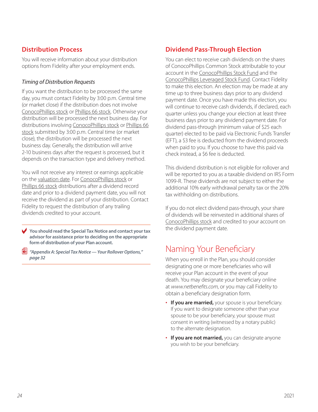## <span id="page-25-0"></span>**Distribution Process**

You will receive information about your distribution options from Fidelity after your employment ends.

### *Timing of Distribution Requests*

If you want the distribution to be processed the same day, you must contact Fidelity by 3:00 p.m. Central time (or market close) if the distribution does not involve ConocoPhillips stock or Phillips 66 stock. Otherwise your distribution will be processed the next business day. For distributions involving ConocoPhillips stock or Phillips 66 stock submitted by 3:00 p.m. Central time (or market close), the distribution will be processed the next business day. Generally, the distribution will arrive 2-10 business days after the request is processed, but it depends on the transaction type and delivery method.

You will not receive any interest or earnings applicable on the valuation date. For ConocoPhillips stock or Phillips 66 stock distributions after a dividend record date and prior to a dividend payment date, you will not receive the dividend as part of your distribution. Contact Fidelity to request the distribution of any trailing dividends credited to your account.

You should read the Special Tax Notice and contact your tax **advisor for assistance prior to deciding on the appropriate form of distribution of your Plan account.**

p *"Appendix A: Special Tax Notice — Your Rollover Options," page 32*

# **Dividend Pass-Through Election**

You can elect to receive cash dividends on the shares of ConocoPhillips Common Stock attributable to your account in the ConocoPhillips Stock Fund and the ConocoPhillips Leveraged Stock Fund. Contact Fidelity to make this election. An election may be made at any time up to three business days prior to any dividend payment date. Once you have made this election, you will continue to receive cash dividends, if declared, each quarter unless you change your election at least three business days prior to any dividend payment date. For dividend pass-through (minimum value of \$25 each quarter) elected to be paid via Electronic Funds Transfer (EFT), a \$3 fee is deducted from the dividend proceeds when paid to you. If you choose to have this paid via check instead, a \$6 fee is deducted.

This dividend distribution is not eligible for rollover and will be reported to you as a taxable dividend on IRS Form 1099-R. These dividends are not subject to either the additional 10% early withdrawal penalty tax or the 20% tax withholding on distributions.

If you do not elect dividend pass-through, your share of dividends will be reinvested in additional shares of ConocoPhillips stock and credited to your account on the dividend payment date.

# Naming Your Beneficiary

When you enroll in the Plan, you should consider designating one or more beneficiaries who will receive your Plan account in the event of your death. You may designate your beneficiary online at *[www.netbenefits.com](http://www.netbenefits.com)*, or you may call Fidelity to obtain a beneficiary designation form.

- **If you are married,** your spouse is your beneficiary. If you want to designate someone other than your spouse to be your beneficiary, your spouse must consent in writing (witnessed by a notary public) to the alternate designation.
- **If you are not married,** you can designate anyone you wish to be your beneficiary.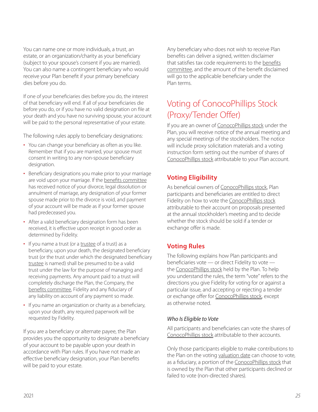<span id="page-26-0"></span>You can name one or more individuals, a trust, an estate, or an organization/charity as your beneficiary (subject to your spouse's consent if you are married). You can also name a contingent beneficiary who would receive your Plan benefit if your primary beneficiary dies before you do.

If one of your beneficiaries dies before you do, the interest of that beneficiary will end. If all of your beneficiaries die before you do, or if you have no valid designation on file at your death and you have no surviving spouse, your account will be paid to the personal representative of your estate.

The following rules apply to beneficiary designations:

- You can change your beneficiary as often as you like. Remember that if you are married, your spouse must consent in writing to any non-spouse beneficiary designation.
- Beneficiary designations you make prior to your marriage are void upon your marriage. If the benefits committee has received notice of your divorce, legal dissolution or annulment of marriage, any designation of your former spouse made prior to the divorce is void, and payment of your account will be made as if your former spouse had predeceased you.
- After a valid beneficiary designation form has been received, it is effective upon receipt in good order as determined by Fidelity.
- If you name a trust (or a trustee of a trust) as a beneficiary, upon your death, the designated beneficiary trust (or the trust under which the designated beneficiary trustee is named) shall be presumed to be a valid trust under the law for the purpose of managing and receiving payments. Any amount paid to a trust will completely discharge the Plan, the Company, the benefits committee, Fidelity and any fiduciary of any liability on account of any payment so made.
- If you name an organization or charity as a beneficiary, upon your death, any required paperwork will be requested by Fidelity.

If you are a beneficiary or alternate payee, the Plan provides you the opportunity to designate a beneficiary of your account to be payable upon your death in accordance with Plan rules. If you have not made an effective beneficiary designation, your Plan benefits will be paid to your estate.

Any beneficiary who does not wish to receive Plan benefits can deliver a signed, written disclaimer that satisfies tax code requirements to the benefits committee, and the amount of the benefit disclaimed will go to the applicable beneficiary under the Plan terms.

# Voting of ConocoPhillips Stock (Proxy/Tender Offer)

If you are an owner of ConocoPhillips stock under the Plan, you will receive notice of the annual meeting and any special meetings of the stockholders. The notice will include proxy solicitation materials and a voting instruction form setting out the number of shares of ConocoPhillips stock attributable to your Plan account.

## **Voting Eligibility**

As beneficial owners of ConocoPhillips stock, Plan participants and beneficiaries are entitled to direct Fidelity on how to vote the ConocoPhillips stock attributable to their account on proposals presented at the annual stockholder's meeting and to decide whether the stock should be sold if a tender or exchange offer is made.

## **Voting Rules**

The following explains how Plan participants and beneficiaries vote — or direct Fidelity to vote the ConocoPhillips stock held by the Plan. To help you understand the rules, the term "vote" refers to the directions you give Fidelity for voting for or against a particular issue, and accepting or rejecting a tender or exchange offer for ConocoPhillips stock, except as otherwise noted.

## *Who Is Eligible to Vote*

All participants and beneficiaries can vote the shares of ConocoPhillips stock attributable to their accounts.

Only those participants eligible to make contributions to the Plan on the voting valuation date can choose to vote, as a fiduciary, a portion of the ConocoPhillips stock that is owned by the Plan that other participants declined or failed to vote (non-directed shares).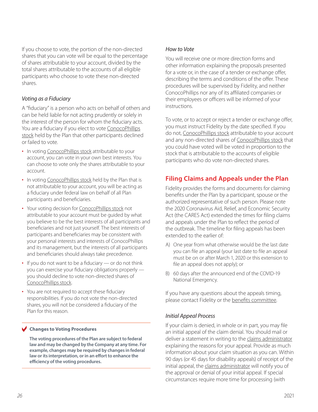<span id="page-27-0"></span>If you choose to vote, the portion of the non-directed shares that you can vote will be equal to the percentage of shares attributable to your account, divided by the total shares attributable to the accounts of all eligible participants who choose to vote these non-directed shares.

### *Voting as a Fiduciary*

A "fiduciary" is a person who acts on behalf of others and can be held liable for not acting prudently or solely in the interest of the person for whom the fiduciary acts. You are a fiduciary if you elect to vote ConocoPhillips stock held by the Plan that other participants declined or failed to vote.

- In voting ConocoPhillips stock attributable to your account, you can vote in your own best interests. You can choose to vote only the shares attributable to your account.
- In voting ConocoPhillips stock held by the Plan that is not attributable to your account, you will be acting as a fiduciary under federal law on behalf of all Plan participants and beneficiaries.
- Your voting decision for ConocoPhillips stock not attributable to your account must be guided by what you believe to be the best interests of all participants and beneficiaries and not just yourself. The best interests of participants and beneficiaries may be consistent with your personal interests and interests of ConocoPhillips and its management, but the interests of all participants and beneficiaries should always take precedence.
- If you do not want to be a fiduciary or do not think you can exercise your fiduciary obligations properly you should decline to vote non-directed shares of ConocoPhillips stock.
- You are not required to accept these fiduciary responsibilities. If you do not vote the non-directed shares, you will not be considered a fiduciary of the Plan for this reason.

#### **Changes to Voting Procedures**

**The voting procedures of the Plan are subject to federal law and may be changed by the Company at any time. For example, changes may be required by changes in federal law or its interpretation, or in an effort to enhance the efficiency of the voting procedures.** 

### *How to Vote*

You will receive one or more direction forms and other information explaining the proposals presented for a vote or, in the case of a tender or exchange offer, describing the terms and conditions of the offer. These procedures will be supervised by Fidelity, and neither ConocoPhillips nor any of its affiliated companies or their employees or officers will be informed of your instructions.

To vote, or to accept or reject a tender or exchange offer, you must instruct Fidelity by the date specified. If you do not, ConocoPhillips stock attributable to your account and any non-directed shares of ConocoPhillips stock that you could have voted will be voted in proportion to the stock that is attributable to the accounts of eligible participants who do vote non-directed shares.

## **Filing Claims and Appeals under the Plan**

Fidelity provides the forms and documents for claiming benefits under the Plan by a participant, spouse or the authorized representative of such person. Please note the 2020 Coronavirus Aid, Relief, and Economic Security Act (the CARES Act) extended the times for filing claims and appeals under the Plan to reflect the period of the outbreak. The timeline for filing appeals has been extended to the earlier of:

- A) One year from what otherwise would be the last date you can file an appeal (your last date to file an appeal must be on or after March 1, 2020 or this extension to file an appeal does not apply); or
- B) 60 days after the announced end of the COVID-19 National Emergency.

If you have any questions about the appeals timing, please contact Fidelity or the benefits committee.

### *Initial Appeal Process*

If your claim is denied, in whole or in part, you may file an initial appeal of the claim denial. You should mail or deliver a statement in writing to the claims administrator explaining the reasons for your appeal. Provide as much information about your claim situation as you can. Within 90 days (or 45 days for disability appeals) of receipt of the initial appeal, the claims administrator will notify you of the approval or denial of your initial appeal. If special circumstances require more time for processing (with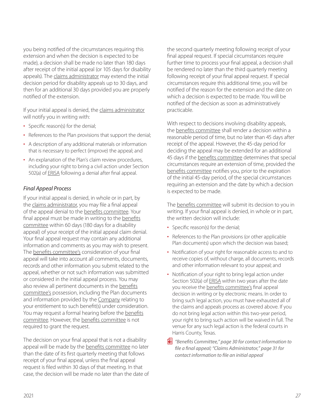<span id="page-28-0"></span>you being notified of the circumstances requiring this extension and when the decision is expected to be made), a decision shall be made no later than 180 days after receipt of the initial appeal (or 105 days for disability appeals). The claims administrator may extend the initial decision period for disability appeals up to 30 days, and then for an additional 30 days provided you are properly notified of the extension.

If your initial appeal is denied, the claims administrator will notify you in writing with:

- Specific reason(s) for the denial;
- References to the Plan provisions that support the denial;
- A description of any additional materials or information that is necessary to perfect (improve) the appeal; and
- An explanation of the Plan's claim review procedures, including your right to bring a civil action under Section 502(a) of ERISA following a denial after final appeal.

### *Final Appeal Process*

If your initial appeal is denied, in whole or in part, by the claims administrator, you may file a final appeal of the appeal denial to the benefits committee. Your final appeal must be made in writing to the benefits committee within 60 days (180 days for a disability appeal) of your receipt of the initial appeal claim denial. Your final appeal request may contain any additional information and comments as you may wish to present. The benefits committee's consideration of your final appeal will take into account all comments, documents, records and other information you submit related to the appeal, whether or not such information was submitted or considered in the initial appeal process. You may also review all pertinent documents in the benefits committee's possession, including the Plan documents and information provided by the Company relating to your entitlement to such benefit(s) under consideration. You may request a formal hearing before the benefits committee. However, the benefits committee is not required to grant the request.

The decision on your final appeal that is not a disability appeal will be made by the benefits committee no later than the date of its first quarterly meeting that follows receipt of your final appeal, unless the final appeal request is filed within 30 days of that meeting. In that case, the decision will be made no later than the date of the second quarterly meeting following receipt of your final appeal request. If special circumstances require further time to process your final appeal, a decision shall be rendered no later than the third quarterly meeting following receipt of your final appeal request. If special circumstances require this additional time, you will be notified of the reason for the extension and the date on which a decision is expected to be made. You will be notified of the decision as soon as administratively practicable.

With respect to decisions involving disability appeals, the benefits committee shall render a decision within a reasonable period of time, but no later than 45 days after receipt of the appeal. However, the 45-day period for deciding the appeal may be extended for an additional 45 days if the benefits committee determines that special circumstances require an extension of time, provided the benefits committee notifies you, prior to the expiration of the initial 45-day period, of the special circumstances requiring an extension and the date by which a decision is expected to be made.

The benefits committee will submit its decision to you in writing. If your final appeal is denied, in whole or in part, the written decision will include:

- Specific reason(s) for the denial;
- References to the Plan provisions (or other applicable Plan documents) upon which the decision was based;
- Notification of your right for reasonable access to and to receive copies of, without charge, all documents, records and other information relevant to your appeal; and
- Notification of your right to bring legal action under Section 502(a) of **ERISA** within two years after the date you receive the benefits committee's final appeal decision in writing or by electronic means. In order to bring such legal action, you must have exhausted all of the claims and appeals process as covered above. If you do not bring legal action within this two-year period, your right to bring such action will be waived in full. The venue for any such legal action is the federal courts in Harris County, Texas.
- p *"Benefits Committee," page 30 for contact information to file a final appeal; "Claims Administrator," page 31 for contact information to file an initial appeal*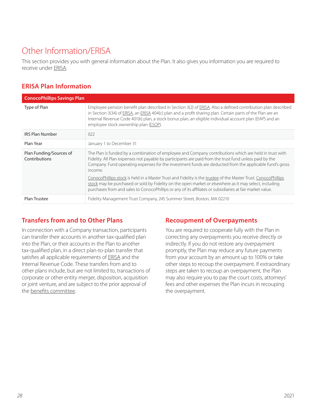# <span id="page-29-0"></span>Other Information/ERISA

This section provides you with general information about the Plan. It also gives you information you are required to receive under ERISA.

# **ERISA Plan Information**

| <b>ConocoPhillips Savings Plan</b>       |                                                                                                                                                                                                                                                                                                                                                                                                                                                                                                                                                                                                                                                                                  |
|------------------------------------------|----------------------------------------------------------------------------------------------------------------------------------------------------------------------------------------------------------------------------------------------------------------------------------------------------------------------------------------------------------------------------------------------------------------------------------------------------------------------------------------------------------------------------------------------------------------------------------------------------------------------------------------------------------------------------------|
| Type of Plan                             | Employee pension benefit plan described in Section 3(2) of ERISA. Also a defined contribution plan described<br>in Section 3(34) of ERISA, an ERISA 404(c) plan and a profit sharing plan. Certain parts of the Plan are an<br>Internal Revenue Code 401(k) plan, a stock bonus plan, an eligible individual account plan (EIAP) and an<br>employee stock ownership plan (ESOP).                                                                                                                                                                                                                                                                                                 |
| <b>IRS Plan Number</b>                   | 022                                                                                                                                                                                                                                                                                                                                                                                                                                                                                                                                                                                                                                                                              |
| Plan Year                                | January 1 to December 31                                                                                                                                                                                                                                                                                                                                                                                                                                                                                                                                                                                                                                                         |
| Plan Funding/Sources of<br>Contributions | The Plan is funded by a combination of employee and Company contributions which are held in trust with<br>Fidelity. All Plan expenses not payable by participants are paid from the trust fund unless paid by the<br>Company. Fund operating expenses for the investment funds are deducted from the applicable fund's gross<br>income.<br>ConocoPhillips stock is held in a Master Trust and Fidelity is the trustee of the Master Trust. ConocoPhillips<br>stock may be purchased or sold by Fidelity on the open market or elsewhere as it may select, including<br>purchases from and sales to ConocoPhillips or any of its affiliates or subsidiaries at fair market value. |
| Plan Trustee                             | Fidelity Management Trust Company, 245 Summer Street, Boston, MA 02210                                                                                                                                                                                                                                                                                                                                                                                                                                                                                                                                                                                                           |

## **Transfers from and to Other Plans**

In connection with a Company transaction, participants can transfer their accounts in another tax-qualified plan into the Plan, or their accounts in the Plan to another tax-qualified plan, in a direct plan-to-plan transfer that satisfies all applicable requirements of ERISA and the Internal Revenue Code. These transfers from and to other plans include, but are not limited to, transactions of corporate or other entity merger, disposition, acquisition or joint venture, and are subject to the prior approval of the benefits committee.

## **Recoupment of Overpayments**

You are required to cooperate fully with the Plan in correcting any overpayments you receive directly or indirectly. If you do not restore any overpayment promptly, the Plan may reduce any future payments from your account by an amount up to 100% or take other steps to recoup the overpayment. If extraordinary steps are taken to recoup an overpayment, the Plan may also require you to pay the court costs, attorneys' fees and other expenses the Plan incurs in recouping the overpayment.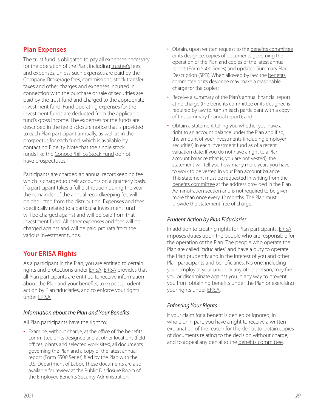## <span id="page-30-0"></span>**Plan Expenses**

The trust fund is obligated to pay all expenses necessary for the operation of the Plan, including trustee's fees and expenses, unless such expenses are paid by the Company. Brokerage fees, commissions, stock transfer taxes and other charges and expenses incurred in connection with the purchase or sale of securities are paid by the trust fund and charged to the appropriate investment fund. Fund operating expenses for the investment funds are deducted from the applicable fund's gross income. The expenses for the funds are described in the fee disclosure notice that is provided to each Plan participant annually, as well as in the prospectus for each fund, which is available by contacting Fidelity. Note that the single stock funds like the ConocoPhillips Stock Fund do not have prospectuses.

Participants are charged an annual recordkeeping fee which is charged to their accounts on a quarterly basis. If a participant takes a full distribution during the year, the remainder of the annual recordkeeping fee will be deducted from the distribution. Expenses and fees specifically related to a particular investment fund will be charged against and will be paid from that investment fund. All other expenses and fees will be charged against and will be paid pro rata from the various investment funds.

## **Your ERISA Rights**

As a participant in the Plan, you are entitled to certain rights and protections under ERISA. ERISA provides that all Plan participants are entitled to receive information about the Plan and your benefits, to expect prudent action by Plan fiduciaries, and to enforce your rights under ERISA.

## *Information about the Plan and Your Benefits*

All Plan participants have the right to:

• Examine, without charge, at the office of the benefits committee or its designee and at other locations (field offices, plants and selected work sites), all documents governing the Plan and a copy of the latest annual report (Form 5500 Series) filed by the Plan with the U.S. Department of Labor. These documents are also available for review at the Public Disclosure Room of the Employee Benefits Security Administration;

- Obtain, upon written request to the benefits committee or its designee, copies of documents governing the operation of the Plan and copies of the latest annual report (Form 5500 Series) and updated Summary Plan Description (SPD). When allowed by law, the benefits committee or its designee may make a reasonable charge for the copies;
- Receive a summary of the Plan's annual financial report at no charge (the benefits committee or its designee is required by law to furnish each participant with a copy of this summary financial report); and
- Obtain a statement telling you whether you have a right to an account balance under the Plan and if so, the amount of your investments (including employer securities) in each investment fund as of a recent valuation date. If you do not have a right to a Plan account balance (that is, you are not vested), the statement will tell you how many more years you have to work to be vested in your Plan account balance. This statement must be requested in writing from the benefits committee at the address provided in the Plan Administration section and is not required to be given more than once every 12 months. The Plan must provide the statement free of charge.

## *Prudent Action by Plan Fiduciaries*

In addition to creating rights for Plan participants, ERISA imposes duties upon the people who are responsible for the operation of the Plan. The people who operate the Plan are called "fiduciaries" and have a duty to operate the Plan prudently and in the interest of you and other Plan participants and beneficiaries. No one, including your employer, your union or any other person, may fire you or discriminate against you in any way to prevent you from obtaining benefits under the Plan or exercising your rights under ERISA.

## *Enforcing Your Rights*

If your claim for a benefit is denied or ignored, in whole or in part, you have a right to receive a written explanation of the reason for the denial, to obtain copies of documents relating to the decision without charge, and to appeal any denial to the benefits committee.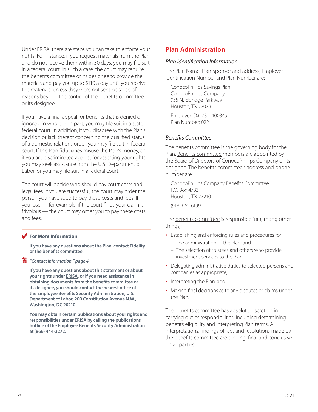<span id="page-31-0"></span>Under ERISA, there are steps you can take to enforce your rights. For instance, if you request materials from the Plan and do not receive them within 30 days, you may file suit in a federal court. In such a case, the court may require the benefits committee or its designee to provide the materials and pay you up to \$110 a day until you receive the materials, unless they were not sent because of reasons beyond the control of the benefits committee or its designee.

If you have a final appeal for benefits that is denied or ignored, in whole or in part, you may file suit in a state or federal court. In addition, if you disagree with the Plan's decision or lack thereof concerning the qualified status of a domestic relations order, you may file suit in federal court. If the Plan fiduciaries misuse the Plan's money, or if you are discriminated against for asserting your rights, you may seek assistance from the U.S. Department of Labor, or you may file suit in a federal court.

The court will decide who should pay court costs and legal fees. If you are successful, the court may order the person you have sued to pay these costs and fees. If you lose — for example, if the court finds your claim is frivolous — the court may order you to pay these costs and fees.

#### **For More Information**

**If you have any questions about the Plan, contact Fidelity or the benefits committee.**

#### p *"Contact Information," page 4*

**If you have any questions about this statement or about your rights under ERISA, or if you need assistance in obtaining documents from the benefits committee or its designee, you should contact the nearest office of the Employee Benefits Security Administration, U.S. Department of Labor, 200 Constitution Avenue N.W., Washington, DC 20210.** 

**You may obtain certain publications about your rights and responsibilities under ERISA by calling the publications hotline of the Employee Benefits Security Administration at (866) 444-3272.**

## **Plan Administration**

#### *Plan Identification Information*

The Plan Name, Plan Sponsor and address, Employer Identification Number and Plan Number are:

ConocoPhillips Savings Plan ConocoPhillips Company 935 N. Eldridge Parkway Houston, TX 77079

Employer ID#: 73-0400345 Plan Number: 022

#### *Benefits Committee*

The benefits committee is the governing body for the Plan. Benefits committee members are appointed by the Board of Directors of ConocoPhillips Company or its designee. The benefits committee's address and phone number are:

ConocoPhillips Company Benefits Committee P.O. Box 4783 Houston, TX 77210

(918) 661-6199

The benefits committee is responsible for (among other things):

- Establishing and enforcing rules and procedures for:
	- The administration of the Plan; and
	- The selection of trustees and others who provide investment services to the Plan;
- Delegating administrative duties to selected persons and companies as appropriate;
- Interpreting the Plan; and
- Making final decisions as to any disputes or claims under the Plan.

The benefits committee has absolute discretion in carrying out its responsibilities, including determining benefits eligibility and interpreting Plan terms. All interpretations, findings of fact and resolutions made by the benefits committee are binding, final and conclusive on all parties.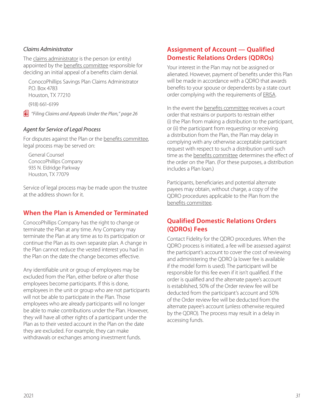### <span id="page-32-0"></span>*Claims Administrator*

The claims administrator is the person (or entity) appointed by the benefits committee responsible for deciding an initial appeal of a benefits claim denial.

ConocoPhillips Savings Plan Claims Administrator P.O. Box 4783 Houston, TX 77210

(918) 661-6199

p *"Filing Claims and Appeals Under the Plan," page 26*

### *Agent for Service of Legal Process*

For disputes against the Plan or the benefits committee, legal process may be served on:

General Counsel ConocoPhillips Company 935 N. Eldridge Parkway Houston, TX 77079

Service of legal process may be made upon the trustee at the address shown for it.

## **When the Plan is Amended or Terminated**

ConocoPhillips Company has the right to change or terminate the Plan at any time. Any Company may terminate the Plan at any time as to its participation or continue the Plan as its own separate plan. A change in the Plan cannot reduce the vested interest you had in the Plan on the date the change becomes effective.

Any identifiable unit or group of employees may be excluded from the Plan, either before or after those employees become participants. If this is done, employees in the unit or group who are not participants will not be able to participate in the Plan. Those employees who are already participants will no longer be able to make contributions under the Plan. However, they will have all other rights of a participant under the Plan as to their vested account in the Plan on the date they are excluded. For example, they can make withdrawals or exchanges among investment funds.

## **Assignment of Account — Qualified Domestic Relations Orders (QDROs)**

Your interest in the Plan may not be assigned or alienated. However, payment of benefits under this Plan will be made in accordance with a QDRO that awards benefits to your spouse or dependents by a state court order complying with the requirements of ERISA.

In the event the benefits committee receives a court order that restrains or purports to restrain either (i) the Plan from making a distribution to the participant, or (ii) the participant from requesting or receiving a distribution from the Plan, the Plan may delay in complying with any otherwise acceptable participant request with respect to such a distribution until such time as the benefits committee determines the effect of the order on the Plan. (For these purposes, a distribution includes a Plan loan.)

Participants, beneficiaries and potential alternate payees may obtain, without charge, a copy of the QDRO procedures applicable to the Plan from the benefits committee.

## **Qualified Domestic Relations Orders (QDROs) Fees**

Contact Fidelity for the QDRO procedures. When the QDRO process is initiated, a fee will be assessed against the participant's account to cover the cost of reviewing and administering the QDRO (a lower fee is available if the model form is used). The participant will be responsible for this fee even if it isn't qualified. If the order is qualified and the alternate payee's account is established, 50% of the Order review fee will be deducted from the participant's account and 50% of the Order review fee will be deducted from the alternate payee's account (unless otherwise required by the QDRO). The process may result in a delay in accessing funds.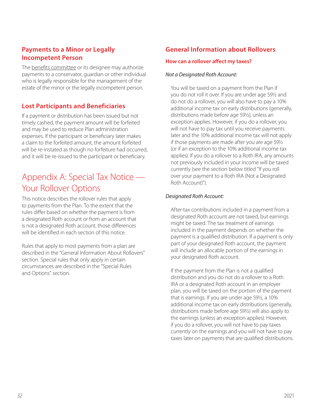## <span id="page-33-0"></span>**Payments to a Minor or Legally Incompetent Person**

The benefits committee or its designee may authorize payments to a conservator, guardian or other individual who is legally responsible for the management of the estate of the minor or the legally incompetent person.

## **Lost Participants and Beneficiaries**

If a payment or distribution has been issued but not timely cashed, the payment amount will be forfeited and may be used to reduce Plan administration expenses. If the participant or beneficiary later makes a claim to the forfeited amount, the amount forfeited will be re-instated as though no forfeiture had occurred. and it will be re-issued to the participant or beneficiary.

# Appendix A: Special Tax Notice — Your Rollover Options

This notice describes the rollover rules that apply to payments from the Plan. To the extent that the rules differ based on whether the payment is from a designated Roth account or from an account that is not a designated Roth account, those differences will be identified in each section of this notice.

Rules that apply to most payments from a plan are described in the "General Information About Rollovers" section. Special rules that only apply in certain circumstances are described in the "Special Rules and Options" section.

# **General Information about Rollovers**

### **How can a rollover affect my taxes?**

### *Not a Designated Roth Account:*

You will be taxed on a payment from the Plan if you do not roll it over. If you are under age 59½ and do not do a rollover, you will also have to pay a 10% additional income tax on early distributions (generally, distributions made before age 59½), unless an exception applies. However, if you do a rollover, you will not have to pay tax until you receive payments later and the 10% additional income tax will not apply if those payments are made after you are age 59½ (or if an exception to the 10% additional income tax applies). If you do a rollover to a Roth IRA, any amounts not previously included in your income will be taxed currently (see the section below titled "If you roll over your payment to a Roth IRA (Not a Designated Roth Account)").

## *Designated Roth Account:*

After-tax contributions included in a payment from a designated Roth account are not taxed, but earnings might be taxed. The tax treatment of earnings included in the payment depends on whether the payment is a qualified distribution. If a payment is only part of your designated Roth account, the payment will include an allocable portion of the earnings in your designated Roth account.

If the payment from the Plan is not a qualified distribution and you do not do a rollover to a Roth IRA or a designated Roth account in an employer plan, you will be taxed on the portion of the payment that is earnings. If you are under age 59½, a 10% additional income tax on early distributions (generally, distributions made before age 59½) will also apply to the earnings (unless an exception applies). However, if you do a rollover, you will not have to pay taxes currently on the earnings and you will not have to pay taxes later on payments that are qualified distributions.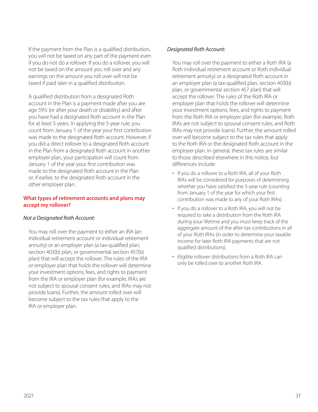If the payment from the Plan is a qualified distribution, you will not be taxed on any part of the payment even if you do not do a rollover. If you do a rollover, you will not be taxed on the amount you roll over and any earnings on the amount you roll over will not be taxed if paid later in a qualified distribution.

A qualified distribution from a designated Roth account in the Plan is a payment made after you are age 59½ (or after your death or disability) and after you have had a designated Roth account in the Plan for at least 5 years. In applying the 5-year rule, you count from January 1 of the year your first contribution was made to the designated Roth account. However, if you did a direct rollover to a designated Roth account in the Plan from a designated Roth account in another employer plan, your participation will count from January 1 of the year your first contribution was made to the designated Roth account in the Plan or, if earlier, to the designated Roth account in the other employer plan.

### **What types of retirement accounts and plans may accept my rollover?**

### *Not a Designated Roth Account:*

You may roll over the payment to either an IRA (an individual retirement account or individual retirement annuity) or an employer plan (a tax-qualified plan, section 403(b) plan, or governmental section 457(b) plan) that will accept the rollover. The rules of the IRA or employer plan that holds the rollover will determine your investment options, fees, and rights to payment from the IRA or employer plan (for example, IRAs are not subject to spousal consent rules, and IRAs may not provide loans). Further, the amount rolled over will become subject to the tax rules that apply to the IRA or employer plan.

### *Designated Roth Account:*

You may roll over the payment to either a Roth IRA (a Roth individual retirement account or Roth individual retirement annuity) or a designated Roth account in an employer plan (a tax-qualified plan, section 403(b) plan, or governmental section 457 plan) that will accept the rollover. The rules of the Roth IRA or employer plan that holds the rollover will determine your investment options, fees, and rights to payment from the Roth IRA or employer plan (for example, Roth IRAs are not subject to spousal consent rules, and Roth IRAs may not provide loans). Further, the amount rolled over will become subject to the tax rules that apply to the Roth IRA or the designated Roth account in the employer plan. In general, these tax rules are similar to those described elsewhere in this notice, but differences include:

- If you do a rollover to a Roth IRA, all of your Roth IRAs will be considered for purposes of determining whether you have satisfied the 5-year rule (counting from January 1 of the year for which your first contribution was made to any of your Roth IRAs).
- If you do a rollover to a Roth IRA, you will not be required to take a distribution from the Roth IRA during your lifetime and you must keep track of the aggregate amount of the after-tax contributions in all of your Roth IRAs (in order to determine your taxable income for later Roth IRA payments that are not qualified distributions).
- Eligible rollover distributions from a Roth IRA can only be rolled over to another Roth IRA.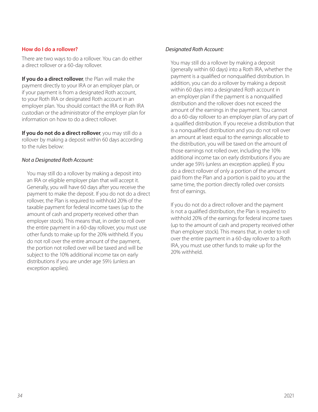### **How do I do a rollover?**

There are two ways to do a rollover. You can do either a direct rollover or a 60-day rollover.

**If you do a direct rollover**, the Plan will make the payment directly to your IRA or an employer plan, or if your payment is from a designated Roth account, to your Roth IRA or designated Roth account in an employer plan. You should contact the IRA or Roth IRA custodian or the administrator of the employer plan for information on how to do a direct rollover.

**If you do not do a direct rollover**, you may still do a rollover by making a deposit within 60 days according to the rules below:

### *Not a Designated Roth Account:*

You may still do a rollover by making a deposit into an IRA or eligible employer plan that will accept it. Generally, you will have 60 days after you receive the payment to make the deposit. If you do not do a direct rollover, the Plan is required to withhold 20% of the taxable payment for federal income taxes (up to the amount of cash and property received other than employer stock). This means that, in order to roll over the entire payment in a 60-day rollover, you must use other funds to make up for the 20% withheld. If you do not roll over the entire amount of the payment, the portion not rolled over will be taxed and will be subject to the 10% additional income tax on early distributions if you are under age 59½ (unless an exception applies).

### *Designated Roth Account:*

You may still do a rollover by making a deposit (generally within 60 days) into a Roth IRA, whether the payment is a qualified or nonqualified distribution. In addition, you can do a rollover by making a deposit within 60 days into a designated Roth account in an employer plan if the payment is a nonqualified distribution and the rollover does not exceed the amount of the earnings in the payment. You cannot do a 60-day rollover to an employer plan of any part of a qualified distribution. If you receive a distribution that is a nonqualified distribution and you do not roll over an amount at least equal to the earnings allocable to the distribution, you will be taxed on the amount of those earnings not rolled over, including the 10% additional income tax on early distributions if you are under age 59½ (unless an exception applies). If you do a direct rollover of only a portion of the amount paid from the Plan and a portion is paid to you at the same time, the portion directly rolled over consists first of earnings.

If you do not do a direct rollover and the payment is not a qualified distribution, the Plan is required to withhold 20% of the earnings for federal income taxes (up to the amount of cash and property received other than employer stock). This means that, in order to roll over the entire payment in a 60-day rollover to a Roth IRA, you must use other funds to make up for the 20% withheld.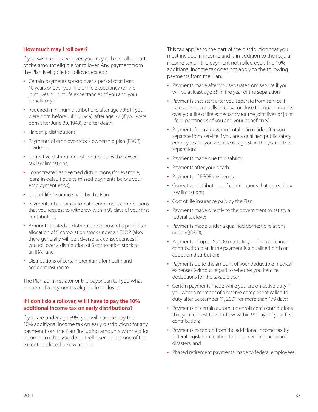### **How much may I roll over?**

If you wish to do a rollover, you may roll over all or part of the amount eligible for rollover. Any payment from the Plan is eligible for rollover, except:

- Certain payments spread over a period of at least 10 years or over your life or life expectancy (or the joint lives or joint life expectancies of you and your beneficiary);
- Required minimum distributions after age 701/2 (if you were born before July 1, 1949), after age 72 (if you were born after June 30, 1949), or after death;
- Hardship distributions;
- Payments of employee stock ownership plan (ESOP) dividends;
- Corrective distributions of contributions that exceed tax law limitations;
- Loans treated as deemed distributions (for example, loans in default due to missed payments before your employment ends);
- Cost of life insurance paid by the Plan;
- Payments of certain automatic enrollment contributions that you request to withdraw within 90 days of your first contribution;
- Amounts treated as distributed because of a prohibited allocation of S corporation stock under an ESOP (also, there generally will be adverse tax consequences if you roll over a distribution of S corporation stock to an IRA); and
- Distributions of certain premiums for health and accident insurance.

The Plan administrator or the payor can tell you what portion of a payment is eligible for rollover.

### **If I don't do a rollover, will I have to pay the 10% additional income tax on early distributions?**

If you are under age 59½, you will have to pay the 10% additional income tax on early distributions for any payment from the Plan (including amounts withheld for income tax) that you do not roll over, unless one of the exceptions listed below applies.

This tax applies to the part of the distribution that you must include in income and is in addition to the regular income tax on the payment not rolled over. The 10% additional income tax does not apply to the following payments from the Plan:

- Payments made after you separate from service if you will be at least age 55 in the year of the separation;
- Payments that start after you separate from service if paid at least annually in equal or close to equal amounts over your life or life expectancy (or the joint lives or joint life expectancies of you and your beneficiary);
- Payments from a governmental plan made after you separate from service if you are a qualified public safety employee and you are at least age 50 in the year of the separation;
- Payments made due to disability;
- Payments after your death;
- Payments of ESOP dividends;
- Corrective distributions of contributions that exceed tax law limitations;
- Cost of life insurance paid by the Plan;
- Payments made directly to the government to satisfy a federal tax levy;
- Payments made under a qualified domestic relations order (QDRO);
- Payments of up to \$5,000 made to you from a defined contribution plan if the payment is a qualified birth or adoption distribution;
- Payments up to the amount of your deductible medical expenses (without regard to whether you itemize deductions for the taxable year);
- Certain payments made while you are on active duty if you were a member of a reserve component called to duty after September 11, 2001 for more than 179 days;
- Payments of certain automatic enrollment contributions that you request to withdraw within 90 days of your first contribution;
- Payments excepted from the additional income tax by federal legislation relating to certain emergencies and disasters; and
- Phased retirement payments made to federal employees.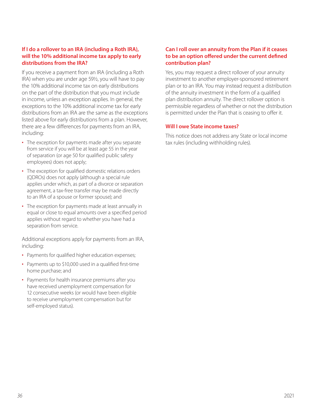### **If I do a rollover to an IRA (including a Roth IRA), will the 10% additional income tax apply to early distributions from the IRA?**

If you receive a payment from an IRA (including a Roth IRA) when you are under age 59½, you will have to pay the 10% additional income tax on early distributions on the part of the distribution that you must include in income, unless an exception applies. In general, the exceptions to the 10% additional income tax for early distributions from an IRA are the same as the exceptions listed above for early distributions from a plan. However, there are a few differences for payments from an IRA, including:

- The exception for payments made after you separate from service if you will be at least age 55 in the year of separation (or age 50 for qualified public safety employees) does not apply;
- The exception for qualified domestic relations orders (QDROs) does not apply (although a special rule applies under which, as part of a divorce or separation agreement, a tax-free transfer may be made directly to an IRA of a spouse or former spouse); and
- The exception for payments made at least annually in equal or close to equal amounts over a specified period applies without regard to whether you have had a separation from service.

Additional exceptions apply for payments from an IRA, including:

- Payments for qualified higher education expenses;
- Payments up to \$10,000 used in a qualified first-time home purchase; and
- Payments for health insurance premiums after you have received unemployment compensation for 12 consecutive weeks (or would have been eligible to receive unemployment compensation but for self-employed status).

### **Can I roll over an annuity from the Plan if it ceases to be an option offered under the current defined contribution plan?**

Yes, you may request a direct rollover of your annuity investment to another employer-sponsored retirement plan or to an IRA. You may instead request a distribution of the annuity investment in the form of a qualified plan distribution annuity. The direct rollover option is permissible regardless of whether or not the distribution is permitted under the Plan that is ceasing to offer it.

### **Will I owe State income taxes?**

This notice does not address any State or local income tax rules (including withholding rules).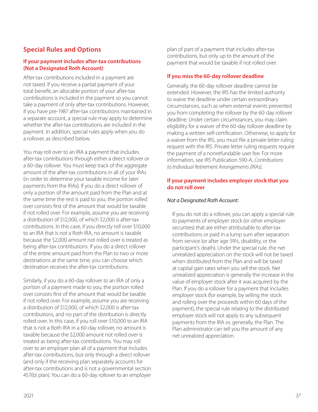## <span id="page-38-0"></span>**Special Rules and Options**

### **If your payment includes after-tax contributions (Not a Designated Roth Account)**

After-tax contributions included in a payment are not taxed. If you receive a partial payment of your total benefit, an allocable portion of your after-tax contributions is included in the payment so you cannot take a payment of only after-tax contributions. However, if you have pre-1987 after-tax contributions maintained in a separate account, a special rule may apply to determine whether the after-tax contributions are included in the payment. In addition, special rules apply when you do a rollover, as described below.

You may roll over to an IRA a payment that includes after-tax contributions through either a direct rollover or a 60-day rollover. You must keep track of the aggregate amount of the after-tax contributions in all of your IRAs (in order to determine your taxable income for later payments from the IRAs). If you do a direct rollover of only a portion of the amount paid from the Plan and at the same time the rest is paid to you, the portion rolled over consists first of the amount that would be taxable if not rolled over. For example, assume you are receiving a distribution of \$12,000, of which \$2,000 is after-tax contributions. In this case, if you directly roll over \$10,000 to an IRA that is not a Roth IRA, no amount is taxable because the \$2,000 amount not rolled over is treated as being after-tax contributions. If you do a direct rollover of the entire amount paid from the Plan to two or more destinations at the same time, you can choose which destination receives the after-tax contributions.

Similarly, if you do a 60-day rollover to an IRA of only a portion of a payment made to you, the portion rolled over consists first of the amount that would be taxable if not rolled over. For example, assume you are receiving a distribution of \$12,000, of which \$2,000 is after-tax contributions, and no part of the distribution is directly rolled over. In this case, if you roll over \$10,000 to an IRA that is not a Roth IRA in a 60-day rollover, no amount is taxable because the \$2,000 amount not rolled over is treated as being after-tax contributions. You may roll over to an employer plan all of a payment that includes after-tax contributions, but only through a direct rollover (and only if the receiving plan separately accounts for after-tax contributions and is not a governmental section 457(b) plan). You can do a 60-day rollover to an employer

plan of part of a payment that includes after-tax contributions, but only up to the amount of the payment that would be taxable if not rolled over.

### **If you miss the 60-day rollover deadline**

Generally, the 60-day rollover deadline cannot be extended. However, the IRS has the limited authority to waive the deadline under certain extraordinary circumstances, such as when external events prevented you from completing the rollover by the 60-day rollover deadline. Under certain circumstances, you may claim eligibility for a waiver of the 60-day rollover deadline by making a written self-certification. Otherwise, to apply for a waiver from the IRS, you must file a private letter ruling request with the IRS. Private letter ruling requests require the payment of a nonrefundable user fee. For more information, see IRS Publication 590-A, *Contributions to Individual Retirement Arrangements (IRAs)*.

### **If your payment includes employer stock that you do not roll over**

### *Not a Designated Roth Account:*

If you do not do a rollover, you can apply a special rule to payments of employer stock (or other employer securities) that are either attributable to after-tax contributions or paid in a lump sum after separation from service (or after age 59½, disability, or the participant's death). Under the special rule, the net unrealized appreciation on the stock will not be taxed when distributed from the Plan and will be taxed at capital gain rates when you sell the stock. Net unrealized appreciation is generally the increase in the value of employer stock after it was acquired by the Plan. If you do a rollover for a payment that includes employer stock (for example, by selling the stock and rolling over the proceeds within 60 days of the payment), the special rule relating to the distributed employer stock will not apply to any subsequent payments from the IRA or, generally, the Plan. The Plan administrator can tell you the amount of any net unrealized appreciation.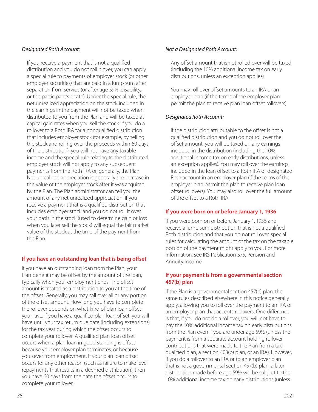### *Designated Roth Account:*

If you receive a payment that is not a qualified distribution and you do not roll it over, you can apply a special rule to payments of employer stock (or other employer securities) that are paid in a lump sum after separation from service (or after age 59½, disability, or the participant's death). Under the special rule, the net unrealized appreciation on the stock included in the earnings in the payment will not be taxed when distributed to you from the Plan and will be taxed at capital gain rates when you sell the stock. If you do a rollover to a Roth IRA for a nonqualified distribution that includes employer stock (for example, by selling the stock and rolling over the proceeds within 60 days of the distribution), you will not have any taxable income and the special rule relating to the distributed employer stock will not apply to any subsequent payments from the Roth IRA or, generally, the Plan. Net unrealized appreciation is generally the increase in the value of the employer stock after it was acquired by the Plan. The Plan administrator can tell you the amount of any net unrealized appreciation. If you receive a payment that is a qualified distribution that includes employer stock and you do not roll it over, your basis in the stock (used to determine gain or loss when you later sell the stock) will equal the fair market value of the stock at the time of the payment from the Plan.

## **If you have an outstanding loan that is being offset**

If you have an outstanding loan from the Plan, your Plan benefit may be offset by the amount of the loan, typically when your employment ends. The offset amount is treated as a distribution to you at the time of the offset. Generally, you may roll over all or any portion of the offset amount. How long you have to complete the rollover depends on what kind of plan loan offset you have. If you have a qualified plan loan offset, you will have until your tax return due date (including extensions) for the tax year during which the offset occurs to complete your rollover. A qualified plan loan offset occurs when a plan loan in good standing is offset because your employer plan terminates, or because you sever from employment. If your plan loan offset occurs for any other reason (such as failure to make level repayments that results in a deemed distribution), then you have 60 days from the date the offset occurs to complete your rollover.

### *Not a Designated Roth Account:*

Any offset amount that is not rolled over will be taxed (including the 10% additional income tax on early distributions, unless an exception applies).

You may roll over offset amounts to an IRA or an employer plan (if the terms of the employer plan permit the plan to receive plan loan offset rollovers).

### *Designated Roth Account:*

If the distribution attributable to the offset is not a qualified distribution and you do not roll over the offset amount, you will be taxed on any earnings included in the distribution (including the 10% additional income tax on early distributions, unless an exception applies). You may roll over the earnings included in the loan offset to a Roth IRA or designated Roth account in an employer plan (if the terms of the employer plan permit the plan to receive plan loan offset rollovers). You may also roll over the full amount of the offset to a Roth IRA.

### **If you were born on or before January 1, 1936**

If you were born on or before January 1, 1936 and receive a lump sum distribution that is not a qualified Roth distribution and that you do not roll over, special rules for calculating the amount of the tax on the taxable portion of the payment might apply to you. For more information, see IRS Publication 575, Pension and Annuity Income.

### **If your payment is from a governmental section 457(b) plan**

If the Plan is a governmental section 457(b) plan, the same rules described elsewhere in this notice generally apply, allowing you to roll over the payment to an IRA or an employer plan that accepts rollovers. One difference is that, if you do not do a rollover, you will not have to pay the 10% additional income tax on early distributions from the Plan even if you are under age 59½ (unless the payment is from a separate account holding rollover contributions that were made to the Plan from a taxqualified plan, a section 403(b) plan, or an IRA). However, if you do a rollover to an IRA or to an employer plan that is not a governmental section 457(b) plan, a later distribution made before age 59½ will be subject to the 10% additional income tax on early distributions (unless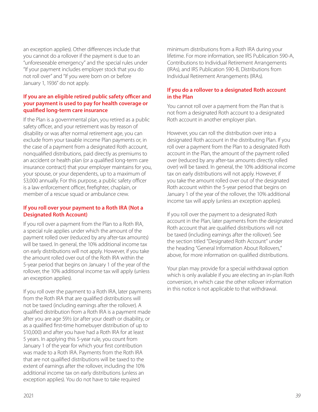an exception applies). Other differences include that you cannot do a rollover if the payment is due to an "unforeseeable emergency" and the special rules under "If your payment includes employer stock that you do not roll over" and "If you were born on or before January 1, 1936" do not apply.

### **If you are an eligible retired public safety officer and your payment is used to pay for health coverage or qualified long-term care insurance**

If the Plan is a governmental plan, you retired as a public safety officer, and your retirement was by reason of disability or was after normal retirement age, you can exclude from your taxable income Plan payments or, in the case of a payment from a designated Roth account, nonqualified distributions, paid directly as premiums to an accident or health plan (or a qualified long-term care insurance contract) that your employer maintains for you, your spouse, or your dependents, up to a maximum of \$3,000 annually. For this purpose, a public safety officer is a law enforcement officer, firefighter, chaplain, or member of a rescue squad or ambulance crew.

### **If you roll over your payment to a Roth IRA (Not a Designated Roth Account)**

If you roll over a payment from the Plan to a Roth IRA, a special rule applies under which the amount of the payment rolled over (reduced by any after-tax amounts) will be taxed. In general, the 10% additional income tax on early distributions will not apply. However, if you take the amount rolled over out of the Roth IRA within the 5-year period that begins on January 1 of the year of the rollover, the 10% additional income tax will apply (unless an exception applies).

If you roll over the payment to a Roth IRA, later payments from the Roth IRA that are qualified distributions will not be taxed (including earnings after the rollover). A qualified distribution from a Roth IRA is a payment made after you are age 59½ (or after your death or disability, or as a qualified first-time homebuyer distribution of up to \$10,000) and after you have had a Roth IRA for at least 5 years. In applying this 5-year rule, you count from January 1 of the year for which your first contribution was made to a Roth IRA. Payments from the Roth IRA that are not qualified distributions will be taxed to the extent of earnings after the rollover, including the 10% additional income tax on early distributions (unless an exception applies). You do not have to take required

minimum distributions from a Roth IRA during your lifetime. For more information, see IRS Publication 590-A, Contributions to Individual Retirement Arrangements (IRAs), and IRS Publication 590-B, Distributions from Individual Retirement Arrangements (IRAs).

### **If you do a rollover to a designated Roth account in the Plan**

You cannot roll over a payment from the Plan that is not from a designated Roth account to a designated Roth account in another employer plan.

However, you can roll the distribution over into a designated Roth account in the distributing Plan. If you roll over a payment from the Plan to a designated Roth account in the Plan, the amount of the payment rolled over (reduced by any after-tax amounts directly rolled over) will be taxed. In general, the 10% additional income tax on early distributions will not apply. However, if you take the amount rolled over out of the designated Roth account within the 5-year period that begins on January 1 of the year of the rollover, the 10% additional income tax will apply (unless an exception applies).

If you roll over the payment to a designated Roth account in the Plan, later payments from the designated Roth account that are qualified distributions will not be taxed (including earnings after the rollover). See the section titled "Designated Roth Account" under the heading "General Information About Rollovers," above, for more information on qualified distributions.

Your plan may provide for a special withdrawal option which is only available if you are electing an in-plan Roth conversion, in which case the other rollover information in this notice is not applicable to that withdrawal.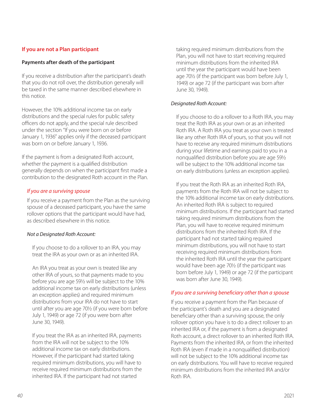### **If you are not a Plan participant**

### **Payments after death of the participant**

If you receive a distribution after the participant's death that you do not roll over, the distribution generally will be taxed in the same manner described elsewhere in this notice.

However, the 10% additional income tax on early distributions and the special rules for public safety officers do not apply, and the special rule described under the section "If you were born on or before January 1, 1936" applies only if the deceased participant was born on or before January 1, 1936.

If the payment is from a designated Roth account, whether the payment is a qualified distribution generally depends on when the participant first made a contribution to the designated Roth account in the Plan.

### *If you are a surviving spouse*

If you receive a payment from the Plan as the surviving spouse of a deceased participant, you have the same rollover options that the participant would have had, as described elsewhere in this notice.

### *Not a Designated Roth Account:*

If you choose to do a rollover to an IRA, you may treat the IRA as your own or as an inherited IRA.

An IRA you treat as your own is treated like any other IRA of yours, so that payments made to you before you are age 59½ will be subject to the 10% additional income tax on early distributions (unless an exception applies) and required minimum distributions from your IRA do not have to start until after you are age 70½ (if you were born before July 1, 1949) or age 72 (if you were born after June 30, 1949).

If you treat the IRA as an inherited IRA, payments from the IRA will not be subject to the 10% additional income tax on early distributions. However, if the participant had started taking required minimum distributions, you will have to receive required minimum distributions from the inherited IRA. If the participant had not started

taking required minimum distributions from the Plan, you will not have to start receiving required minimum distributions from the inherited IRA until the year the participant would have been age 70½ (if the participant was born before July 1, 1949) or age 72 (if the participant was born after June 30, 1949).

### *Designated Roth Account:*

If you choose to do a rollover to a Roth IRA, you may treat the Roth IRA as your own or as an inherited Roth IRA. A Roth IRA you treat as your own is treated like any other Roth IRA of yours, so that you will not have to receive any required minimum distributions during your lifetime and earnings paid to you in a nonqualified distribution before you are age 59½ will be subject to the 10% additional income tax on early distributions (unless an exception applies).

If you treat the Roth IRA as an inherited Roth IRA, payments from the Roth IRA will not be subject to the 10% additional income tax on early distributions. An inherited Roth IRA is subject to required minimum distributions. If the participant had started taking required minimum distributions from the Plan, you will have to receive required minimum distributions from the inherited Roth IRA. If the participant had not started taking required minimum distributions, you will not have to start receiving required minimum distributions from the inherited Roth IRA until the year the participant would have been age 70½ (if the participant was born before July 1, 1949) or age 72 (if the participant was born after June 30, 1949).

### *If you are a surviving beneficiary other than a spouse*

If you receive a payment from the Plan because of the participant's death and you are a designated beneficiary other than a surviving spouse, the only rollover option you have is to do a direct rollover to an inherited IRA or, if the payment is from a designated Roth account, a direct rollover to an inherited Roth IRA. Payments from the inherited IRA, or from the inherited Roth IRA (even if made in a nonqualified distribution) will not be subject to the 10% additional income tax on early distributions. You will have to receive required minimum distributions from the inherited IRA and/or Roth IRA.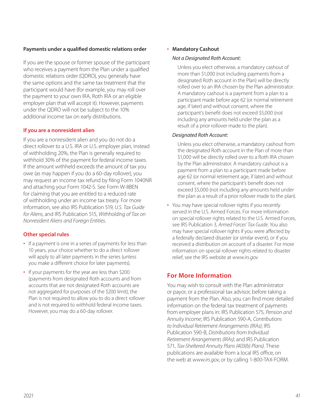### <span id="page-42-0"></span>**Payments under a qualified domestic relations order**

If you are the spouse or former spouse of the participant who receives a payment from the Plan under a qualified domestic relations order (QDRO), you generally have the same options and the same tax treatment that the participant would have (for example, you may roll over the payment to your own IRA, Roth IRA or an eligible employer plan that will accept it). However, payments under the QDRO will not be subject to the 10% additional income tax on early distributions.

### **If you are a nonresident alien**

If you are a nonresident alien and you do not do a direct rollover to a U.S. IRA or U.S. employer plan, instead of withholding 20%, the Plan is generally required to withhold 30% of the payment for federal income taxes. If the amount withheld exceeds the amount of tax you owe (as may happen if you do a 60-day rollover), you may request an income tax refund by filing Form 1040NR and attaching your Form 1042-S. See Form W-8BEN for claiming that you are entitled to a reduced rate of withholding under an income tax treaty. For more information, see also IRS Publication 519, *U.S. Tax Guide for Aliens*, and IRS Publication 515, *Withholding of Tax on Nonresident Aliens and Foreign Entities*.

## **Other special rules**

- If a payment is one in a series of payments for less than 10 years, your choice whether to do a direct rollover will apply to all later payments in the series (unless you make a different choice for later payments).
- If your payments for the year are less than \$200 (payments from designated Roth accounts and from accounts that are not designated Roth accounts are not aggregated for purposes of the \$200 limit), the Plan is not required to allow you to do a direct rollover and is not required to withhold federal income taxes. However, you may do a 60-day rollover.

### • **Mandatory Cashout**

### *Not a Designated Roth Account:*

Unless you elect otherwise, a mandatory cashout of more than \$1,000 (not including payments from a designated Roth account in the Plan) will be directly rolled over to an IRA chosen by the Plan administrator. A mandatory cashout is a payment from a plan to a participant made before age 62 (or normal retirement age, if later) and without consent, where the participant's benefit does not exceed \$5,000 (not including any amounts held under the plan as a result of a prior rollover made to the plan).

### *Designated Roth Account:*

Unless you elect otherwise, a mandatory cashout from the designated Roth account in the Plan of more than \$1,000 will be directly rolled over to a Roth IRA chosen by the Plan administrator. A mandatory cashout is a payment from a plan to a participant made before age 62 (or normal retirement age, if later) and without consent, where the participant's benefit does not exceed \$5,000 (not including any amounts held under the plan as a result of a prior rollover made to the plan).

• You may have special rollover rights if you recently served in the U.S. Armed Forces. For more information on special rollover rights related to the U.S. Armed Forces, see IRS Publication 3, *Armed Forces' Tax Guide*. You also may have special rollover rights if you were affected by a federally declared disaster (or similar event), or if you received a distribution on account of a disaster. For more information on special rollover rights related to disaster relief, see the IRS website at *[www.irs.gov](http://www.irs.gov)*.

## **For More Information**

You may wish to consult with the Plan administrator or payor, or a professional tax advisor, before taking a payment from the Plan. Also, you can find more detailed information on the federal tax treatment of payments from employer plans in: IRS Publication 575, *Pension and Annuity Income*; IRS Publication 590-A, *Contributions to Individual Retirement Arrangements (IRAs)*; IRS Publication 590-B, *Distributions from Individual Retirement Arrangements (IRAs)*; and IRS Publication 571, *Tax-Sheltered Annuity Plans (403(b) Plans)*. These publications are available from a local IRS office, on the web at *[www.irs.gov](http://www.irs.gov)*, or by calling 1-800-TAX-FORM.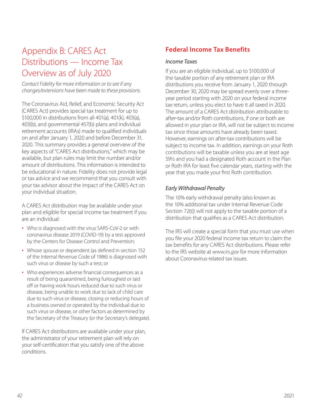# <span id="page-43-0"></span>Appendix B: CARES Act Distributions — Income Tax Overview as of July 2020

*Contact Fidelity for more information or to see if any changes/extensions have been made to these provisions.*

The Coronavirus Aid, Relief, and Economic Security Act (CARES Act) provides special tax treatment for up to \$100,000 in distributions from all 401(a), 401(k), 403(a), 403(b), and governmental 457(b) plans and individual retirement accounts (IRAs) made to qualified individuals on and after January 1, 2020 and before December 31, 2020. This summary provides a general overview of the key aspects of "CARES Act distributions," which may be available, but plan rules may limit the number and/or amount of distributions. This information is intended to be educational in nature. Fidelity does not provide legal or tax advice and we recommend that you consult with your tax advisor about the impact of the CARES Act on your individual situation.

A CARES Act distribution may be available under your plan and eligible for special income tax treatment if you are an individual:

- Who is diagnosed with the virus SARS-CoV-2 or with coronavirus disease 2019 (COVID-19) by a test approved by the Centers for Disease Control and Prevention;
- Whose spouse or dependent (as defined in section 152 of the Internal Revenue Code of 1986) is diagnosed with such virus or disease by such a test; or
- Who experiences adverse financial consequences as a result of being quarantined, being furloughed or laid off or having work hours reduced due to such virus or disease, being unable to work due to lack of child care due to such virus or disease, closing or reducing hours of a business owned or operated by the individual due to such virus or disease, or other factors as determined by the Secretary of the Treasury (or the Secretary's delegate).

If CARES Act distributions are available under your plan, the administrator of your retirement plan will rely on your self-certification that you satisfy one of the above conditions.

# **Federal Income Tax Benefits**

### *Income Taxes*

If you are an eligible individual, up to \$100,000 of the taxable portion of any retirement plan or IRA distributions you receive from January 1, 2020 through December 30, 2020 may be spread evenly over a threeyear period starting with 2020 on your federal income tax return, unless you elect to have it all taxed in 2020. The amount of a CARES Act distribution attributable to after-tax and/or Roth contributions, if one or both are allowed in your plan or IRA, will not be subject to income tax since those amounts have already been taxed. However, earnings on after-tax contributions will be subject to income tax. In addition, earnings on your Roth contributions will be taxable unless you are at least age 59½ and you had a designated Roth account in the Plan or Roth IRA for least five calendar years, starting with the year that you made your first Roth contribution.

### *Early Withdrawal Penalty*

The 10% early withdrawal penalty (also known as the 10% additional tax under Internal Revenue Code Section 72(t)) will not apply to the taxable portion of a distribution that qualifies as a CARES Act distribution.

The IRS will create a special form that you must use when you file your 2020 federal income tax return to claim the tax benefits for any CARES Act distributions. Please refer to the IRS website at *[www.irs.gov](http://www.irs.gov)* for more information about Coronavirus-related tax issues.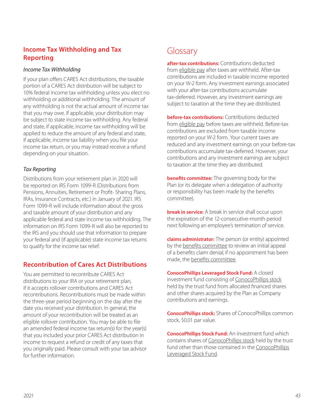## <span id="page-44-0"></span>**Income Tax Withholding and Tax Reporting**

### *Income Tax Withholding*

If your plan offers CARES Act distributions, the taxable portion of a CARES Act distribution will be subject to 10% federal income tax withholding unless you elect no withholding or additional withholding. The amount of any withholding is not the actual amount of income tax that you may owe. If applicable, your distribution may be subject to state income tax withholding. Any federal and state, if applicable, income tax withholding will be applied to reduce the amount of any federal and state, if applicable, income tax liability when you file your income tax return, or you may instead receive a refund depending on your situation.

### *Tax Reporting*

Distributions from your retirement plan in 2020 will be reported on IRS Form 1099-R (Distributions from Pensions, Annuities, Retirement or Profit- Sharing Plans, IRAs, Insurance Contracts, etc.) in January of 2021. IRS Form 1099-R will include information about the gross and taxable amount of your distribution and any applicable federal and state income tax withholding. The information on IRS Form 1099-R will also be reported to the IRS and you should use that information to prepare your federal and (if applicable) state income tax returns to qualify for the income tax relief.

## **Recontribution of Cares Act Distributions**

You are permitted to recontribute CARES Act distributions to your IRA or your retirement plan, if it accepts rollover contributions and CARES Act recontributions. Recontributions must be made within the three-year period beginning on the day after the date you received your distribution. In general, the amount of your recontribution will be treated as an eligible rollover contribution. You may be able to file an amended federal income tax return(s) for the year(s) that you included your prior CARES Act distribution in income to request a refund or credit of any taxes that you originally paid. Please consult with your tax advisor for further information.

# Glossary

**after-tax contributions:** Contributions deducted from eligible pay after taxes are withheld. After-tax contributions are included in taxable income reported on your W-2 form. Any investment earnings associated with your after-tax contributions accumulate tax-deferred. However, any investment earnings are subject to taxation at the time they are distributed.

**before-tax contributions:** Contributions deducted from eligible pay before taxes are withheld. Before-tax contributions are excluded from taxable income reported on your W-2 form. Your current taxes are reduced and any investment earnings on your before-tax contributions accumulate tax-deferred. However, your contributions and any investment earnings are subject to taxation at the time they are distributed.

**benefits committee:** The governing body for the Plan (or its delegate when a delegation of authority or responsibility has been made by the benefits committee).

**break in service:** A break in service shall occur upon the expiration of the 12-consecutive-month period next following an employee's termination of service.

**claims administrator:** The person (or entity) appointed by the benefits committee to review an initial appeal of a benefits claim denial; if no appointment has been made, the benefits committee.

**ConocoPhillips Leveraged Stock Fund:** A closed investment fund consisting of ConocoPhillips stock held by the trust fund from allocated financed shares and other shares acquired by the Plan as Company contributions and earnings.

**ConocoPhillips stock:** Shares of ConocoPhillips common stock, \$0.01 par value.

**ConocoPhillips Stock Fund:** An investment fund which contains shares of ConocoPhillips stock held by the trust fund other than those contained in the ConocoPhillips Leveraged Stock Fund.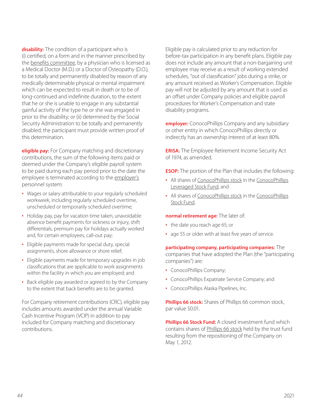**disability:** The condition of a participant who is (i) certified, on a form and in the manner prescribed by the benefits committee, by a physician who is licensed as a Medical Doctor (M.D.) or a Doctor of Osteopathy (D.O.), to be totally and permanently disabled by reason of any medically determinable physical or mental impairment which can be expected to result in death or to be of long-continued and indefinite duration, to the extent that he or she is unable to engage in any substantial gainful activity of the type he or she was engaged in prior to the disability; or (ii) determined by the Social Security Administration to be totally and permanently disabled; the participant must provide written proof of this determination.

**eligible pay:** For Company matching and discretionary contributions, the sum of the following items paid or deemed under the Company's eligible payroll system to be paid during each pay period prior to the date the employee is terminated according to the employer's personnel system:

- Wages or salary attributable to your regularly scheduled workweek, including regularly scheduled overtime, unscheduled or temporarily scheduled overtime;
- Holiday pay, pay for vacation time taken, unavoidable absence benefit payments for sickness or injury, shift differentials, premium pay for holidays actually worked and, for certain employees, call-out pay;
- Eligible payments made for special duty, special assignments, shore allowance or shore relief;
- Eligible payments made for temporary upgrades in job classifications that are applicable to work assignments within the facility in which you are employed; and
- Back eligible pay awarded or agreed to by the Company to the extent that back benefits are to be granted.

For Company retirement contributions (CRC), eligible pay includes amounts awarded under the annual Variable Cash Incentive Program (VCIP) in addition to pay included for Company matching and discretionary contributions.

Eligible pay is calculated prior to any reduction for before-tax participation in any benefit plans. Eligible pay does not include any amount that a non-bargaining unit employee may receive as a result of working extended schedules, "out of classification" jobs during a strike, or any amount received as Worker's Compensation. Eligible pay will not be adjusted by any amount that is used as an offset under Company policies and eligible payroll procedures for Worker's Compensation and state disability programs.

**employer:** ConocoPhillips Company and any subsidiary or other entity in which ConocoPhillips directly or indirectly has an ownership interest of at least 80%.

**ERISA:** The Employee Retirement Income Security Act of 1974, as amended.

**ESOP:** The portion of the Plan that includes the following:

- All shares of ConocoPhillips stock in the ConocoPhillips Leveraged Stock Fund; and
- All shares of ConocoPhillips stock in the ConocoPhillips Stock Fund.

### **normal retirement age:** The later of:

- the date you reach age 65; or
- age 55 or older with at least five years of service.

**participating company, participating companies:** The companies that have adopted the Plan (the "participating companies") are:

- ConocoPhillips Company;
- ConocoPhillips Expatriate Service Company; and
- ConocoPhillips Alaska Pipelines, Inc.

**Phillips 66 stock:** Shares of Phillips 66 common stock, par value \$0.01.

**Phillips 66 Stock Fund:** A closed investment fund which contains shares of Phillips 66 stock held by the trust fund resulting from the repositioning of the Company on May 1, 2012.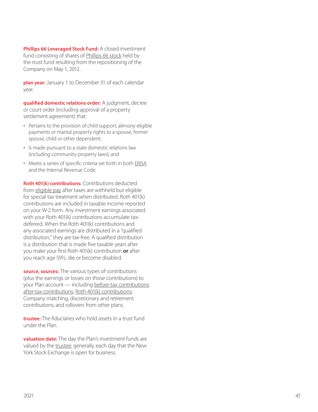**Phillips 66 Leveraged Stock Fund:** A closed investment fund consisting of shares of Phillips 66 stock held by the trust fund resulting from the repositioning of the Company on May 1, 2012.

**plan year:** January 1 to December 31 of each calendar year.

**qualified domestic relations order:** A judgment, decree or court order (including approval of a property settlement agreement) that:

- Pertains to the provision of child support, alimony eligible payments or marital property rights to a spouse, former spouse, child or other dependent;
- Is made pursuant to a state domestic relations law (including community property laws); and
- Meets a series of specific criteria set forth in both ERISA and the Internal Revenue Code.

**Roth 401(k) contributions:** Contributions deducted from eligible pay after taxes are withheld but eligible for special tax treatment when distributed. Roth 401(k) contributions are included in taxable income reported on your W-2 form. Any investment earnings associated with your Roth 401(k) contributions accumulate taxdeferred. When the Roth 401(k) contributions and any associated earnings are distributed in a "qualified distribution," they are tax-free. A qualified distribution is a distribution that is made five taxable years after you make your first Roth 401(k) contribution **or** after you reach age 59½, die or become disabled.

**source, sources:** The various types of contributions (plus the earnings or losses on those contributions) to your Plan account — including before-tax contributions; after-tax contributions; Roth 401(k) contributions; Company matching, discretionary and retirement contributions; and rollovers from other plans.

**trustee:** The fiduciaries who hold assets in a trust fund under the Plan.

**valuation date:** The day the Plan's investment funds are valued by the trustee; generally, each day that the New York Stock Exchange is open for business.